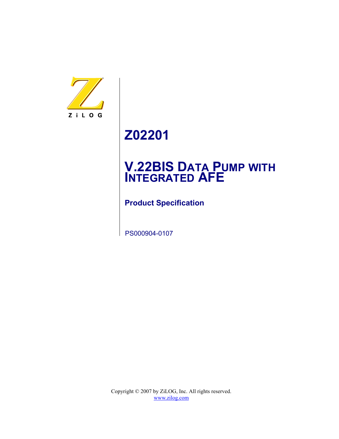

# **Z02201**

# **V.22BIS DATA PUMP WITH INTEGRATED AFE**

**Product Specification**

PS000904-0107

Copyright © 2007 by ZiLOG, Inc. All rights reserved. [www.zilog.com](http://www.zilog.com)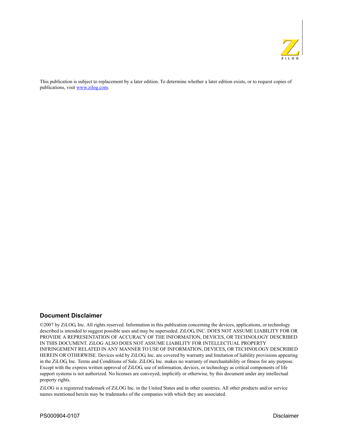

This publication is subject to replacement by a later edition. To determine whether a later edition exists, or to request copies of publications, visit www.zilog.com.

#### **Document Disclaimer**

©2007 by ZiLOG, Inc. All rights reserved. Information in this publication concerning the devices, applications, or technology described is intended to suggest possible uses and may be superseded. ZiLOG, INC. DOES NOT ASSUME LIABILITY FOR OR PROVIDE A REPRESENTATION OF ACCURACY OF THE INFORMATION, DEVICES, OR TECHNOLOGY DESCRIBED IN THIS DOCUMENT. ZiLOG ALSO DOES NOT ASSUME LIABILITY FOR INTELLECTUAL PROPERTY INFRINGEMENT RELATED IN ANY MANNER TO USE OF INFORMATION, DEVICES, OR TECHNOLOGY DESCRIBED HEREIN OR OTHERWISE. Devices sold by ZiLOG, Inc. are covered by warranty and limitation of liability provisions appearing in the ZiLOG, Inc. Terms and Conditions of Sale. ZiLOG, Inc. makes no warranty of merchantability or fitness for any purpose. Except with the express written approval of ZiLOG, use of information, devices, or technology as critical components of life support systems is not authorized. No licenses are conveyed, implicitly or otherwise, by this document under any intellectual property rights.

ZiLOG is a registered trademark of ZiLOG Inc. in the United States and in other countries. All other products and/or service names mentioned herein may be trademarks of the companies with which they are associated.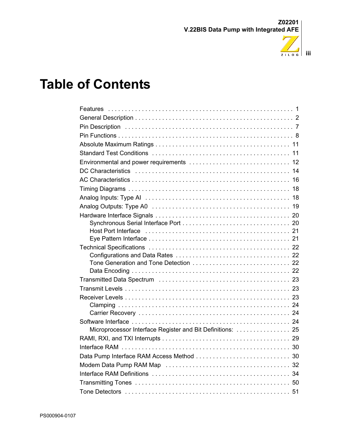

# **Table of Contents**

| Microprocessor Interface Register and Bit Definitions:  25 |
|------------------------------------------------------------|
|                                                            |
|                                                            |
| Data Pump Interface RAM Access Method<br>30                |
| 32                                                         |
| 34                                                         |
|                                                            |
|                                                            |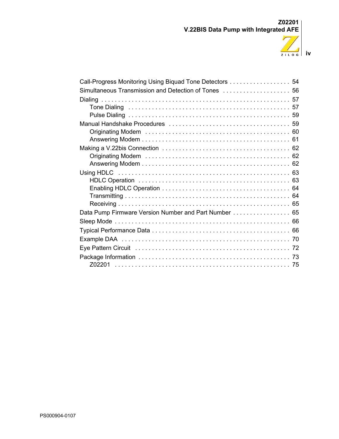

| Call-Progress Monitoring Using Biquad Tone Detectors  54 |
|----------------------------------------------------------|
|                                                          |
|                                                          |
|                                                          |
|                                                          |
|                                                          |
|                                                          |
|                                                          |
|                                                          |
|                                                          |
|                                                          |
|                                                          |
|                                                          |
|                                                          |
|                                                          |
| Data Pump Firmware Version Number and Part Number 65     |
|                                                          |
|                                                          |
|                                                          |
|                                                          |
|                                                          |
|                                                          |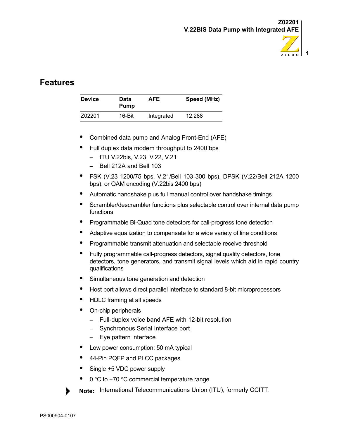

# <span id="page-4-0"></span>**Features**

| <b>Device</b> | Data<br><b>Pump</b> | AFE        | Speed (MHz) |
|---------------|---------------------|------------|-------------|
| Z02201        | 16-Bit              | Integrated | 12.288      |

- **•** Combined data pump and Analog Front-End (AFE)
- **•** Full duplex data modem throughput to 2400 bps
	- **–** ITU V.22bis, V.23, V.22, V.21
	- **–** Bell 212A and Bell 103
- **•** FSK (V.23 1200/75 bps, V.21/Bell 103 300 bps), DPSK (V.22/Bell 212A 1200 bps), or QAM encoding (V.22bis 2400 bps)
- **•** Automatic handshake plus full manual control over handshake timings
- **•** Scrambler/descrambler functions plus selectable control over internal data pump functions
- **•** Programmable Bi-Quad tone detectors for call-progress tone detection
- **•** Adaptive equalization to compensate for a wide variety of line conditions
- **•** Programmable transmit attenuation and selectable receive threshold
- **•** Fully programmable call-progress detectors, signal quality detectors, tone detectors, tone generators, and transmit signal levels which aid in rapid country qualifications
- **•** Simultaneous tone generation and detection
- **•** Host port allows direct parallel interface to standard 8-bit microprocessors
- **•** HDLC framing at all speeds
- **•** On-chip peripherals
	- **–** Full-duplex voice band AFE with 12-bit resolution
	- **–** Synchronous Serial Interface port
	- **–** Eye pattern interface
- **•** Low power consumption: 50 mA typical
- **•** 44-Pin PQFP and PLCC packages
- **•** Single +5 VDC power supply
- 0 °C to +70 °C commercial temperature range
- **Note:** International Telecommunications Union (ITU), formerly CCITT.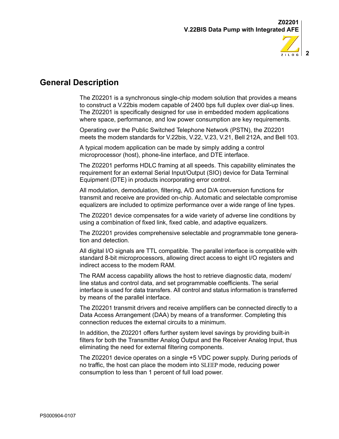

# <span id="page-5-0"></span>**General Description**

The Z02201 is a synchronous single-chip modem solution that provides a means to construct a V.22bis modem capable of 2400 bps full duplex over dial-up lines. The Z02201 is specifically designed for use in embedded modem applications where space, performance, and low power consumption are key requirements.

Operating over the Public Switched Telephone Network (PSTN), the Z02201 meets the modem standards for V.22bis, V.22, V.23, V.21, Bell 212A, and Bell 103.

A typical modem application can be made by simply adding a control microprocessor (host), phone-line interface, and DTE interface.

The Z02201 performs HDLC framing at all speeds. This capability eliminates the requirement for an external Serial Input/Output (SIO) device for Data Terminal Equipment (DTE) in products incorporating error control.

All modulation, demodulation, filtering, A/D and D/A conversion functions for transmit and receive are provided on-chip. Automatic and selectable compromise equalizers are included to optimize performance over a wide range of line types.

The Z02201 device compensates for a wide variety of adverse line conditions by using a combination of fixed link, fixed cable, and adaptive equalizers.

The Z02201 provides comprehensive selectable and programmable tone generation and detection.

All digital I/O signals are TTL compatible. The parallel interface is compatible with standard 8-bit microprocessors, allowing direct access to eight I/O registers and indirect access to the modem RAM.

The RAM access capability allows the host to retrieve diagnostic data, modem/ line status and control data, and set programmable coefficients. The serial interface is used for data transfers. All control and status information is transferred by means of the parallel interface.

The Z02201 transmit drivers and receive amplifiers can be connected directly to a Data Access Arrangement (DAA) by means of a transformer. Completing this connection reduces the external circuits to a minimum.

In addition, the Z02201 offers further system level savings by providing built-in filters for both the Transmitter Analog Output and the Receiver Analog Input, thus eliminating the need for external filtering components.

The Z02201 device operates on a single +5 VDC power supply. During periods of no traffic, the host can place the modem into SLEEP mode, reducing power consumption to less than 1 percent of full load power.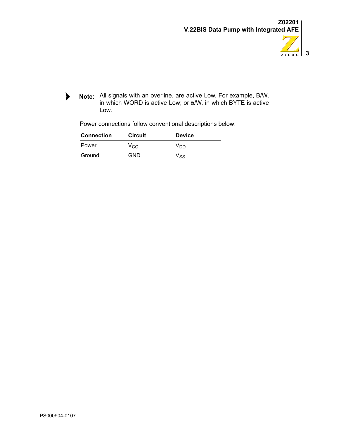

 $\blacktriangleright$ All signals with an overline, are active Low. For example, B/W, **Note:**in which WORD is active Low; or B/W, in which BYTE is active Low.

| Power connections follow conventional descriptions below: |  |
|-----------------------------------------------------------|--|
|-----------------------------------------------------------|--|

| <b>Connection</b> | <b>Circuit</b>  | <b>Device</b> |
|-------------------|-----------------|---------------|
| Power             | V <sub>CC</sub> | Vnn.          |
| Ground            | GND             | Vss           |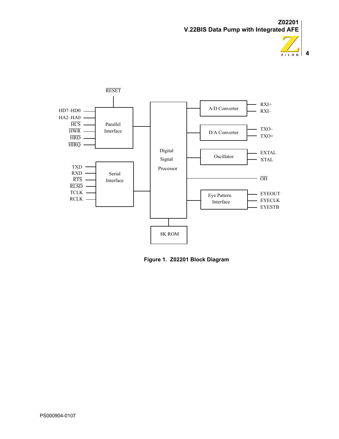





**Figure 1. Z02201 Block Diagram**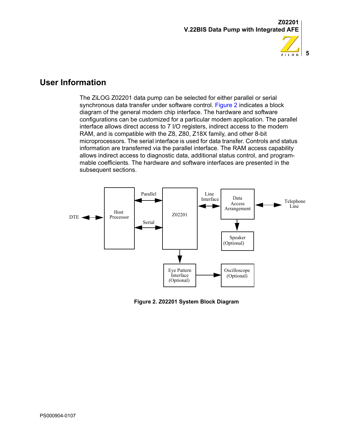

**5**

 $Z$  i L O G

### **User Information**

The ZiLOG Z02201 data pump can be selected for either parallel or serial synchronous data transfer under software control. [Figure 2](#page-8-0) indicates a block diagram of the general modem chip interface. The hardware and software configurations can be customized for a particular modem application. The parallel interface allows direct access to 7 I/O registers, indirect access to the modem RAM, and is compatible with the Z8, Z80, Z18X family, and other 8-bit microprocessors. The serial interface is used for data transfer. Controls and status information are transferred via the parallel interface. The RAM access capability allows indirect access to diagnostic data, additional status control, and programmable coefficients. The hardware and software interfaces are presented in the subsequent sections.



<span id="page-8-0"></span>**Figure 2. Z02201 System Block Diagram**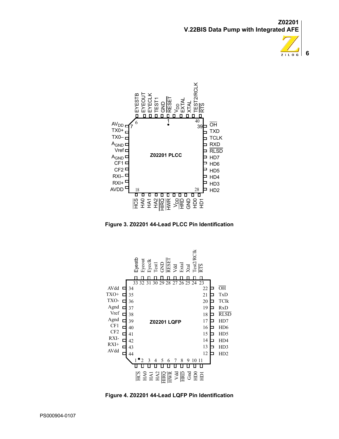



**Figure 3. Z02201 44-Lead PLCC Pin Identification**



**Figure 4. Z02201 44-Lead LQFP Pin Identification**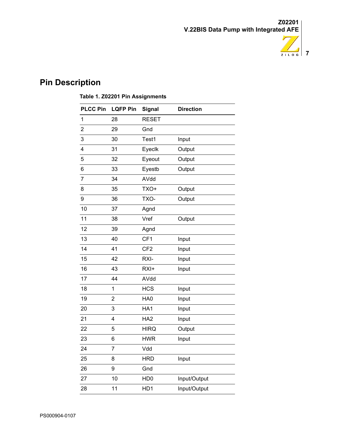

# <span id="page-10-0"></span>**Pin Description**

### **Table 1. Z02201 Pin Assignments**

| 1<br>2<br>3<br>4 | 28<br>29<br>30 | <b>RESET</b><br>Gnd |              |
|------------------|----------------|---------------------|--------------|
|                  |                |                     |              |
|                  |                |                     |              |
|                  |                | Test1               | Input        |
|                  | 31             | Eyeclk              | Output       |
| 5                | 32             | Eyeout              | Output       |
| 6                | 33             | Eyestb              | Output       |
| 7                | 34             | AVdd                |              |
| 8                | 35             | TXO+                | Output       |
| 9                | 36             | TXO-                | Output       |
| 10               | 37             | Agnd                |              |
| 11               | 38             | Vref                | Output       |
| 12               | 39             | Agnd                |              |
| 13               | 40             | CF1                 | Input        |
| 14               | 41             | CF <sub>2</sub>     | Input        |
| 15               | 42             | RXI-                | Input        |
| 16               | 43             | RXI+                | Input        |
| 17               | 44             | AVdd                |              |
| 18               | 1              | <b>HCS</b>          | Input        |
| 19               | 2              | HA0                 | Input        |
| 20               | 3              | HA1                 | Input        |
| 21               | 4              | HA <sub>2</sub>     | Input        |
| 22               | 5              | <b>HIRQ</b>         | Output       |
| 23               | 6              | <b>HWR</b>          | Input        |
| 24               | 7              | Vdd                 |              |
| 25               | 8              | <b>HRD</b>          | Input        |
| 26               | 9              | Gnd                 |              |
| 27               | 10             | HD <sub>0</sub>     | Input/Output |
| 28               | 11             | HD1                 | Input/Output |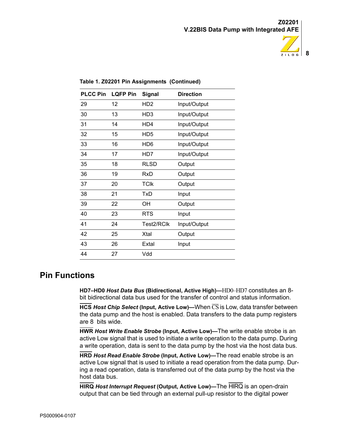

| <b>PLCC Pin</b> | <b>LQFP Pin</b> | <b>Signal</b>   | <b>Direction</b> |
|-----------------|-----------------|-----------------|------------------|
| 29              | 12              | HD <sub>2</sub> | Input/Output     |
| 30              | 13              | HD <sub>3</sub> | Input/Output     |
| 31              | 14              | HD4             | Input/Output     |
| 32              | 15              | HD <sub>5</sub> | Input/Output     |
| 33              | 16              | HD <sub>6</sub> | Input/Output     |
| 34              | 17              | HD7             | Input/Output     |
| 35              | 18              | <b>RLSD</b>     | Output           |
| 36              | 19              | <b>RxD</b>      | Output           |
| 37              | 20              | <b>TCIK</b>     | Output           |
| 38              | 21              | TxD             | Input            |
| 39              | 22              | OH              | Output           |
| 40              | 23              | <b>RTS</b>      | Input            |
| 41              | 24              | Test2/RClk      | Input/Output     |
| 42              | 25              | Xtal            | Output           |
| 43              | 26              | Extal           | Input            |
| 44              | 27              | Vdd             |                  |

**Table 1. Z02201 Pin Assignments (Continued)**

## <span id="page-11-0"></span>**Pin Functions**

**HD7–HD0** *Host Data Bus* **(Bidirectional, Active High)—**HD0–HD7 constitutes an 8 bit bidirectional data bus used for the transfer of control and status information.

**HCS** *Host Chip Select* **(Input, Active Low)—**When CS is Low, data transfer between the data pump and the host is enabled. Data transfers to the data pump registers are 8 bits wide.

**HWR** *Host Write Enable Strobe* **(Input, Active Low)—**The write enable strobe is an active Low signal that is used to initiate a write operation to the data pump. During a write operation, data is sent to the data pump by the host via the host data bus.

**HRD** *Host Read Enable Strobe* **(Input, Active Low)—**The read enable strobe is an active Low signal that is used to initiate a read operation from the data pump. During a read operation, data is transferred out of the data pump by the host via the host data bus.

**HIRQ** *Host Interrupt Request* **(Output, Active Low)—**The HIRQ is an open-drain output that can be tied through an external pull-up resistor to the digital power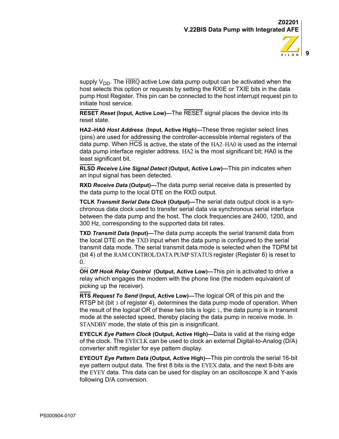

supply  $V_{DD}$ . The  $\overline{\text{HIRQ}}$  active Low data pump output can be activated when the host selects this option or requests by setting the RXIE or TXIE bits in the data pump Host Register. This pin can be connected to the host interrupt request pin to initiate host service.

**RESET** *Reset* **(Input, Active Low)—**The RESET signal places the device into its reset state.

**HA2–HA0** *Host Address* **(Input, Active High)—**These three register select lines (pins) are used for addressing the controller-accessible internal registers of the data pump. When HCS is active, the state of the HA2–HA0 is used as the internal data pump interface register address. HA2 is the most significant bit; HA0 is the least significant bit.

**RLSD** *Receive Line Signal Detect* **(Output, Active Low)—**This pin indicates when an input signal has been detected.

**RXD** *Receive Data* **(Output)—**The data pump serial receive data is presented by the data pump to the local DTE on the RXD output.

**TCLK** *Transmit Serial Data Clock* **(Output)—**The serial data output clock is a synchronous data clock used to transfer serial data via synchronous serial interface between the data pump and the host. The clock frequencies are 2400, 1200, and 300 Hz, corresponding to the supported data bit rates.

**TXD** *Transmit Data* **(Input)—**The data pump accepts the serial transmit data from the local DTE on the TXD input when the data pump is configured to the serial transmit data mode. The serial transmit data mode is selected when the TDPM bit (bit 4) of the RAM CONTROL/DATA PUMP STATUS register (Register 6) is reset to 0.

**OH** *Off Hook Relay Control* **(Output, Active Low)—**This pin is activated to drive a relay which engages the modem with the phone line (the modem equivalent of picking up the receiver).

**RTS** *Request To Send* **(Input, Active Low)—**The logical OR of this pin and the RTSP bit (bit 3 of register 4), determines the data pump mode of operation. When the result of the logical OR of these two bits is logic  $1$ , the data pump is in transmit mode at the selected speed, thereby placing the data pump in receive mode. In STANDBY mode, the state of this pin is insignificant.

**EYECLK** *Eye Pattern Clock* **(Output, Active High)—**Data is valid at the rising edge of the clock. The EYECLK can be used to clock an external Digital-to-Analog (D/A) converter shift register for eye pattern display.

**EYEOUT** *Eye Pattern Data* **(Output, Active High)—**This pin controls the serial 16-bit eye pattern output data. The first 8 bits is the EYEX data, and the next 8-bits are the EYEY data. This data can be used for display on an oscilloscope X and Y-axis following D/A conversion.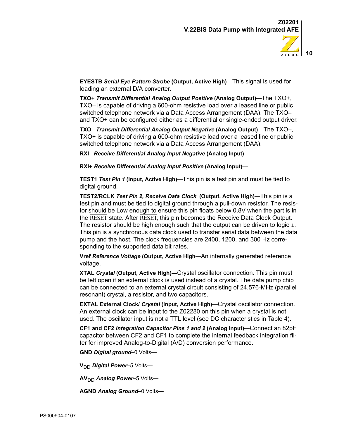

**EYESTB** *Serial Eye Pattern Strobe* **(Output, Active High)—**This signal is used for loading an external D/A converter.

**TXO+** *Transmit Differential Analog Output Positive* **(Analog Output)—**The TXO+, TXO– is capable of driving a 600-ohm resistive load over a leased line or public switched telephone network via a Data Access Arrangement (DAA). The TXO– and TXO+ can be configured either as a differential or single-ended output driver.

**TXO–** *Transmit Differential Analog Output Negative* **(Analog Output)—**The TXO–, TXO+ is capable of driving a 600-ohm resistive load over a leased line or public switched telephone network via a Data Access Arrangement (DAA).

**RXI–** *Receive Differential Analog Input Negative* **(Analog Input)—**

**RXI+** *Receive Differential Analog Input Positive* **(Analog Input)—**

**TEST1** *Test Pin 1* **(Input, Active High)—**This pin is a test pin and must be tied to digital ground.

**TEST2/RCLK** *Test Pin 2, Receive Data Clock* **(Output, Active High)—**This pin is a test pin and must be tied to digital ground through a pull-down resistor. The resistor should be Low enough to ensure this pin floats below 0.8V when the part is in the RESET state. After RESET, this pin becomes the Receive Data Clock Output. The resistor should be high enough such that the output can be driven to logic 1. This pin is a synchronous data clock used to transfer serial data between the data pump and the host. The clock frequencies are 2400, 1200, and 300 Hz corresponding to the supported data bit rates.

**Vref** *Reference Voltage* **(Output, Active High—**An internally generated reference voltage.

**XTAL** *Crystal* **(Output, Active High)—**Crystal oscillator connection. This pin must be left open if an external clock is used instead of a crystal. The data pump chip can be connected to an external crystal circuit consisting of 24.576-MHz (parallel resonant) crystal, a resistor, and two capacitors.

**EXTAL External Clock/** *Crystal* **(Input, Active High)—**Crystal oscillator connection. An external clock can be input to the Z02280 on this pin when a crystal is not used. The oscillator input is not a TTL level (see DC characteristics in Table 4).

**CF1 and CF2** *Integration Capacitor Pins 1 and 2* **(Analog Input)—**Connect an 82pF capacitor between CF2 and CF1 to complete the internal feedback integration filter for improved Analog-to-Digital (A/D) conversion performance.

**GND** *Digital ground–*0 Volts**—**

**V**<sub>DD</sub> *Digital Power*–5 Volts—

**AV**<sub>DD</sub> *Analog Power*–5 Volts–

**AGND** *Analog Ground–*0 Volts**—**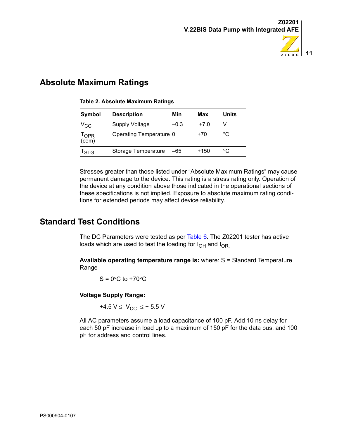

# <span id="page-14-0"></span>**Absolute Maximum Ratings**

| <b>Description</b>    | Min    | Max                                            | Units |
|-----------------------|--------|------------------------------------------------|-------|
| <b>Supply Voltage</b> | $-0.3$ | $+7.0$                                         |       |
|                       |        | +70                                            | °C    |
|                       | -65    | +150                                           | °C    |
|                       |        | Operating Temperature 0<br>Storage Temperature |       |

#### **Table 2. Absolute Maximum Ratings**

Stresses greater than those listed under "Absolute Maximum Ratings" may cause permanent damage to the device. This rating is a stress rating only. Operation of the device at any condition above those indicated in the operational sections of these specifications is not implied. Exposure to absolute maximum rating conditions for extended periods may affect device reliability.

# <span id="page-14-1"></span>**Standard Test Conditions**

The DC Parameters were tested as per [Table 6.](#page-17-1) The Z02201 tester has active loads which are used to test the loading for  $I_{OH}$  and  $I_{OR}$ .

**Available operating temperature range is:** where: S = Standard Temperature Range

 $S = 0^\circ C$  to  $+70^\circ C$ 

#### **Voltage Supply Range:**

+4.5  $V \leq V_{CC} \leq +5.5 V$ 

All AC parameters assume a load capacitance of 100 pF. Add 10 ns delay for each 50 pF increase in load up to a maximum of 150 pF for the data bus, and 100 pF for address and control lines.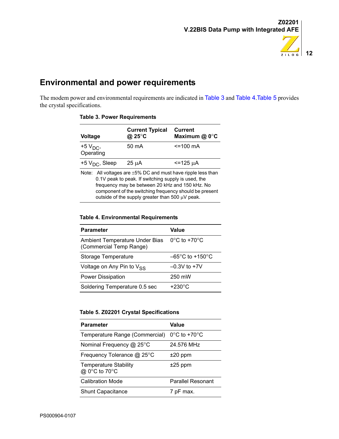

# <span id="page-15-0"></span>**Environmental and power requirements**

<span id="page-15-1"></span>The modem power and environmental requirements are indicated in [Table 3](#page-15-1) and [Table 4](#page-15-2).[Table 5](#page-15-3) provides the crystal specifications.

| Voltage                                                                                                                                                                                                                                                                                        | <b>Current Typical</b><br>@ 25°C | <b>Current</b><br>Maximum @ 0°C |
|------------------------------------------------------------------------------------------------------------------------------------------------------------------------------------------------------------------------------------------------------------------------------------------------|----------------------------------|---------------------------------|
| $+5V_{DC}$<br>Operating                                                                                                                                                                                                                                                                        | 50 mA                            | $\le$ = 100 mA                  |
| +5 $VDC$ , Sleep                                                                                                                                                                                                                                                                               | $25 \mu A$                       | $\le$ = 125 $\mu$ A             |
| Note: All voltages are $\pm 5\%$ DC and must have ripple less than<br>0.1V peak to peak. If switching supply is used, the<br>frequency may be between 20 kHz and 150 kHz. No<br>component of the switching frequency should be present<br>outside of the supply greater than 500 $\mu$ V peak. |                                  |                                 |

#### **Table 3. Power Requirements**

#### <span id="page-15-2"></span>**Table 4. Environmental Requirements**

| <b>Parameter</b>                                                 | Value                                |
|------------------------------------------------------------------|--------------------------------------|
| <b>Ambient Temperature Under Bias</b><br>(Commercial Temp Range) | $0^{\circ}$ C to +70 $^{\circ}$ C    |
| Storage Temperature                                              | $-65^{\circ}$ C to +150 $^{\circ}$ C |
| Voltage on Any Pin to V <sub>SS</sub>                            | $-0.3V$ to $+7V$                     |
| <b>Power Dissipation</b>                                         | 250 mW                               |
| Soldering Temperature 0.5 sec                                    | $+230^{\circ}$ C                     |

#### <span id="page-15-3"></span>**Table 5. Z02201 Crystal Specifications**

| <b>Parameter</b>                              | Value                             |
|-----------------------------------------------|-----------------------------------|
| Temperature Range (Commercial)                | $0^{\circ}$ C to +70 $^{\circ}$ C |
| Nominal Frequency @ 25°C                      | 24.576 MHz                        |
| Frequency Tolerance @ 25°C                    | $±20$ ppm                         |
| <b>Temperature Stability</b><br>@ 0°C to 70°C | $±25$ ppm                         |
| <b>Calibration Mode</b>                       | <b>Parallel Resonant</b>          |
| <b>Shunt Capacitance</b>                      | 7 pF max.                         |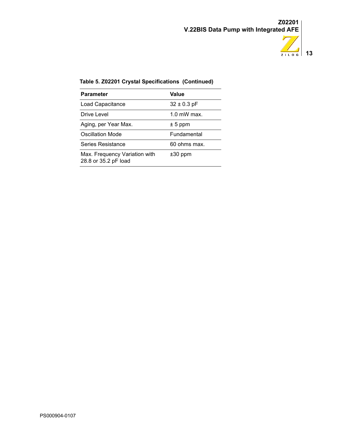

### **Table 5. Z02201 Crystal Specifications (Continued)**

| <b>Parameter</b>                                      | Value           |
|-------------------------------------------------------|-----------------|
| Load Capacitance                                      | $32 \pm 0.3$ pF |
| Drive Level                                           | $1.0$ mW max.   |
| Aging, per Year Max.                                  | $± 5$ ppm       |
| Oscillation Mode                                      | Fundamental     |
| Series Resistance                                     | 60 ohms max.    |
| Max. Frequency Variation with<br>28.8 or 35.2 pF load | $±30$ ppm       |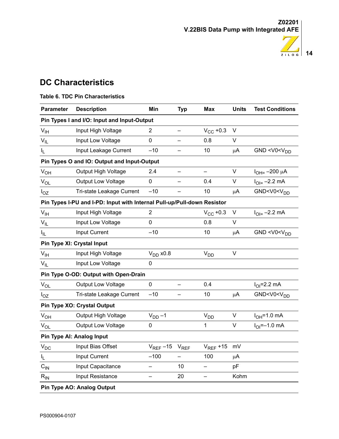

# <span id="page-17-0"></span>**DC Characteristics**

| <b>Parameter</b>                                                        | <b>Description</b>                          | Min                      | <b>Typ</b>               | <b>Max</b>        | <b>Units</b> | <b>Test Conditions</b>           |  |
|-------------------------------------------------------------------------|---------------------------------------------|--------------------------|--------------------------|-------------------|--------------|----------------------------------|--|
|                                                                         | Pin Types I and I/O: Input and Input-Output |                          |                          |                   |              |                                  |  |
| $V_{\text{IH}}$                                                         | Input High Voltage                          | $\mathbf{2}^{\prime}$    |                          | $V_{CC}$ +0.3     | V            |                                  |  |
| $V_{IL}$                                                                | Input Low Voltage                           | $\mathbf 0$              |                          | 0.8               | V            |                                  |  |
| $I_L$                                                                   | Input Leakage Current                       | $-10$                    | -                        | 10                | μA           | GND < $V0$ < $VDD$               |  |
|                                                                         | Pin Types O and IO: Output and Input-Output |                          |                          |                   |              |                                  |  |
| $V_{OH}$                                                                | Output High Voltage                         | 2.4                      |                          |                   | V            | $I_{OH=}-200 \mu A$              |  |
| $V_{OL}$                                                                | Output Low Voltage                          | $\mathbf 0$              | $\overline{\phantom{0}}$ | 0.4               | V            | $I_{OII} = -2.2$ mA              |  |
| $I_{OZ}$                                                                | Tri-state Leakage Current                   | $-10$                    |                          | 10                | μA           | GND <v0<v<sub>DD</v0<v<sub>      |  |
| Pin Types I-PU and I-PD: Input with Internal Pull-up/Pull-down Resistor |                                             |                          |                          |                   |              |                                  |  |
| $V_{\text{IH}}$                                                         | Input High Voltage                          | $\overline{2}$           |                          | $V_{\rm CC}$ +0.3 | V            | $I_{OI} = -2.2$ mA               |  |
| $V_{IL}$                                                                | Input Low Voltage                           | 0                        |                          | 0.8               | V            |                                  |  |
| $I_{\rm IL}$                                                            | Input Current                               | $-10$                    |                          | 10                | μA           | GND < V0 < V <sub>DD</sub>       |  |
|                                                                         | Pin Type XI: Crystal Input                  |                          |                          |                   |              |                                  |  |
| $V_{\text{IH}}$                                                         | Input High Voltage                          | $V_{DD}$ x0.8            |                          | V <sub>DD</sub>   | V            |                                  |  |
| $V_{IL}$                                                                | Input Low Voltage                           | $\mathbf 0$              |                          |                   |              |                                  |  |
|                                                                         | Pin Type O-OD: Output with Open-Drain       |                          |                          |                   |              |                                  |  |
| $\rm V_{OL}$                                                            | Output Low Voltage                          | $\mathbf 0$              |                          | 0.4               |              | $IOI=2.2 mA$                     |  |
| $I_{OZ}$                                                                | Tri-state Leakage Current                   | $-10$                    |                          | 10                | $\mu$ A      | GND <v0<v<sub>DD</v0<v<sub>      |  |
|                                                                         | Pin Type XO: Crystal Output                 |                          |                          |                   |              |                                  |  |
| $V_{OH}$                                                                | Output High Voltage                         | $V_{DD}$ -1              |                          | $V_{DD}$          | V            | $IOH=1.0$ mA                     |  |
| $V_{OL}$                                                                | Output Low Voltage                          | $\pmb{0}$                |                          | $\mathbf{1}$      | V            | $I_{\text{O}} = -1.0 \text{ mA}$ |  |
|                                                                         | Pin Type AI: Analog Input                   |                          |                          |                   |              |                                  |  |
| $\mathsf{V}_{\mathsf{DC}}$                                              | Input Bias Offset                           | $V_{RFF}$ –15            | $V_{REF}$                | $V_{REF}$ +15     | mV           |                                  |  |
| $I_L$                                                                   | Input Current                               | $-100$                   |                          | 100               | μA           |                                  |  |
| $\mathrm{C_{\text{IN}}}$                                                | Input Capacitance                           | $\overline{\phantom{0}}$ | 10                       |                   | pF           |                                  |  |
| $R_{IN}$                                                                | Input Resistance                            |                          | 20                       |                   | Kohm         |                                  |  |
|                                                                         | Pin Type AO: Analog Output                  |                          |                          |                   |              |                                  |  |

### <span id="page-17-1"></span>**Table 6. TDC Pin Characteristics**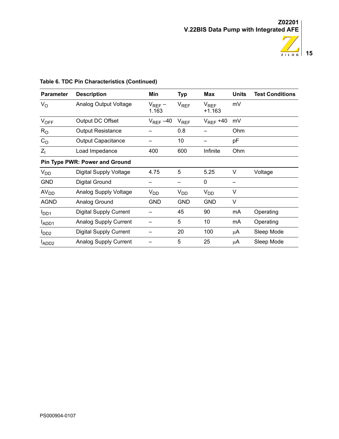

| <b>Parameter</b> | <b>Description</b>                    | Min                  | <b>Typ</b> | <b>Max</b>            | <b>Units</b> | <b>Test Conditions</b> |
|------------------|---------------------------------------|----------------------|------------|-----------------------|--------------|------------------------|
| $V_{\rm O}$      | Analog Output Voltage                 | $V_{REF}$ –<br>1.163 | $V_{REF}$  | $V_{REF}$<br>$+1.163$ | mV           |                        |
| $V_{OFF}$        | Output DC Offset                      | $V_{REF}$ –40        | $V_{REF}$  | $V_{REF}$ +40         | mV           |                        |
| $R_{\rm O}$      | <b>Output Resistance</b>              |                      | 0.8        |                       | Ohm          |                        |
| C <sub>O</sub>   | <b>Output Capacitance</b>             |                      | 10         |                       | pF           |                        |
| $Z_{\parallel}$  | Load Impedance                        | 400                  | 600        | Infinite              | Ohm          |                        |
|                  | <b>Pin Type PWR: Power and Ground</b> |                      |            |                       |              |                        |
| V <sub>DD</sub>  | <b>Digital Supply Voltage</b>         | 4.75                 | 5          | 5.25                  | V            | Voltage                |
| <b>GND</b>       | Digital Ground                        |                      |            | 0                     |              |                        |
| AV <sub>DD</sub> | <b>Analog Supply Voltage</b>          | $V_{DD}$             | $V_{DD}$   | V <sub>DD</sub>       | V            |                        |
| <b>AGND</b>      | Analog Ground                         | GND                  | <b>GND</b> | <b>GND</b>            | V            |                        |
| $I_{DD1}$        | <b>Digital Supply Current</b>         |                      | 45         | 90                    | mA           | Operating              |
| ADD <sub>1</sub> | <b>Analog Supply Current</b>          |                      | 5          | 10                    | mA           | Operating              |
| l <sub>DD2</sub> | <b>Digital Supply Current</b>         |                      | 20         | 100                   | μA           | Sleep Mode             |
| ADD <sub>2</sub> | <b>Analog Supply Current</b>          |                      | 5          | 25                    | μA           | Sleep Mode             |

### **Table 6. TDC Pin Characteristics (Continued)**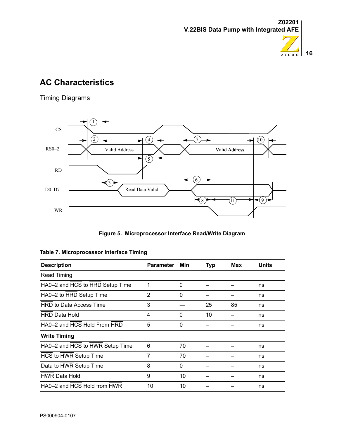



 $\overline{\phantom{0}}$  $\overline{\phantom{a}}$  $\overline{\phantom{a}}$  $\overline{\phantom{0}}$ 

 $\overline{\phantom{a}}$ 

# <span id="page-19-0"></span>**AC Characteristics**

Timing Diagrams



**Figure 5. Microprocessor Interface Read/Write Diagram**

| <b>Description</b>              | <b>Parameter</b> | Min | <b>Typ</b> | Max | Units |
|---------------------------------|------------------|-----|------------|-----|-------|
| Read Timing                     |                  |     |            |     |       |
| HA0-2 and HCS to HRD Setup Time | 1                | 0   |            |     | ns    |
| HA0-2 to HRD Setup Time         | 2                | 0   |            |     | ns    |
| <b>HRD to Data Access Time</b>  | 3                |     | 25         | 85  | ns    |
| <b>HRD Data Hold</b>            | 4                | 0   | 10         |     | ns    |
| HA0-2 and HCS Hold From HRD     | 5                | 0   |            |     | ns    |
| <b>Write Timing</b>             |                  |     |            |     |       |
| HA0-2 and HCS to HWR Setup Time | 6                | 70  |            |     | ns    |
| HCS to HWR Setup Time           | 7                | 70  |            |     | ns    |
| Data to HWR Setup Time          | 8                | 0   |            |     | ns    |
| <b>HWR Data Hold</b>            | 9                | 10  |            |     | ns    |
| HA0-2 and HCS Hold from HWR     | 10               | 10  |            |     | ns    |

|  |  | Table 7. Microprocessor Interface Timing |  |  |
|--|--|------------------------------------------|--|--|
|--|--|------------------------------------------|--|--|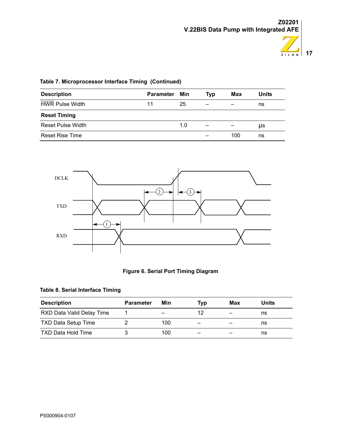

| <b>Description</b>                      | <b>Parameter</b> | Min | Typ | Max | <b>Units</b> |
|-----------------------------------------|------------------|-----|-----|-----|--------------|
| $\sim$ $\sim$<br><b>HWR Pulse Width</b> | 11               | 25  |     |     | ns           |
| <b>Reset Timing</b>                     |                  |     |     |     |              |
| <b>Reset Pulse Width</b>                |                  | 1.0 |     |     | μs           |
| <b>Reset Rise Time</b>                  |                  |     |     | 100 | ns           |

### **Table 7. Microprocessor Interface Timing (Continued)**



#### **Figure 6. Serial Port Timing Diagram**

#### **Table 8. Serial Interface Timing**

| <b>Description</b>         | <b>Parameter</b> | Min                      | Tvp | Max | Units |
|----------------------------|------------------|--------------------------|-----|-----|-------|
| RXD Data Valid Delay Time  |                  | $\overline{\phantom{m}}$ | 12  |     | ns    |
| <b>TXD Data Setup Time</b> |                  | 100                      | -   | –   | ns    |
| <b>TXD Data Hold Time</b>  |                  | 100                      | -   | –   | ns    |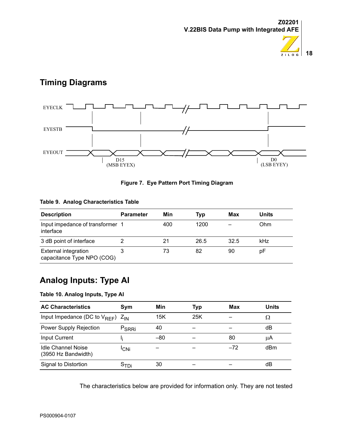



# <span id="page-21-0"></span>**Timing Diagrams**



#### **Figure 7. Eye Pattern Port Timing Diagram**

#### **Table 9. Analog Characteristics Table**

| <b>Description</b>                                 | <b>Parameter</b> | Min | Typ  | <b>Max</b> | <b>Units</b> |
|----------------------------------------------------|------------------|-----|------|------------|--------------|
| Input impedance of transformer 1<br>interface      |                  | 400 | 1200 |            | Ohm          |
| 3 dB point of interface                            |                  | 21  | 26.5 | 32.5       | kHz          |
| External integration<br>capacitance Type NPO (COG) |                  | 73  | 82   | 90         | рF           |

# <span id="page-21-1"></span>**Analog Inputs: Type AI**

#### **Table 10. Analog Inputs, Type AI**

| <b>AC Characteristics</b>                   | Sym               | Min   | Typ | Max   | Units |
|---------------------------------------------|-------------------|-------|-----|-------|-------|
| Input Impedance (DC to $V_{RFF}$ ) $Z_{IN}$ |                   | 15K   | 25K |       | Ω     |
| Power Supply Rejection                      | P <sub>SRRi</sub> | 40    |     |       | dB    |
| <b>Input Current</b>                        |                   | $-80$ |     | 80    | μA    |
| Idle Channel Noise<br>(3950 Hz Bandwidth)   | <sup>I</sup> CNi  |       |     | $-72$ | dBm   |
| Signal to Distortion                        | ⊃⊤Di              | 30    |     |       | dB    |

The characteristics below are provided for information only. They are not tested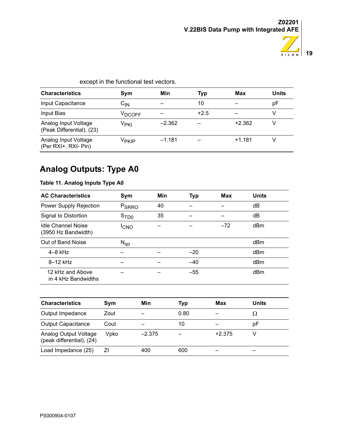

| except in the functional test vectors.            |                            |          |        |          |              |  |
|---------------------------------------------------|----------------------------|----------|--------|----------|--------------|--|
| <b>Characteristics</b>                            | Sym                        | Min      | Typ    | Max      | <b>Units</b> |  |
| Input Capacitance                                 | $\mathsf{C}_{\mathsf{IN}}$ |          | 10     |          | pF           |  |
| Input Bias                                        | V <sub>DCOFF</sub>         |          | $+2.5$ |          |              |  |
| Analog Input Voltage<br>(Peak Differential), (23) | Ѵ <sub>РКІ</sub>           | $-2.362$ |        | $+2.362$ | V            |  |
| Analog Input Voltage<br>(Per RXI+. RXI- Pin)      | V <sub>PKIP</sub>          | $-1.181$ |        | $+1.181$ |              |  |

# <span id="page-22-0"></span>**Analog Outputs: Type A0**

### **Table 11. Analog Inputs Type A0**

| <b>AC Characteristics</b>                        | Sym               | Min | <b>Typ</b> | Max   | <b>Units</b> |
|--------------------------------------------------|-------------------|-----|------------|-------|--------------|
| Power Supply Rejection                           | P <sub>SRRO</sub> | 40  |            |       | dB           |
| Signal to Distortion                             | S <sub>TDO</sub>  | 35  |            |       | dB           |
| <b>Idle Channel Noise</b><br>(3950 Hz Bandwidth) | <sup>I</sup> CNO  |     |            | $-72$ | dBm          |
| Out of Band Noise                                | $N_{q0}$          |     |            |       | dBm          |
| $4-8$ kHz                                        |                   |     | $-20$      |       | dBm          |
| $8-12$ kHz                                       |                   |     | $-40$      |       | dBm          |
| 12 kHz and Above<br>in 4 kHz Bandwidths          |                   |     | $-55$      |       | dBm          |

| <b>Characteristics</b>                             | Sym  | Min      | Typ  | Max      | Units |
|----------------------------------------------------|------|----------|------|----------|-------|
| Output Impedance                                   | Zout |          | 0.80 |          | Ω     |
| <b>Output Capacitance</b>                          | Cout |          | 10   |          | pF    |
| Analog Output Voltage<br>(peak differential), (24) | Vpko | $-2.375$ |      | $+2.375$ |       |
| Load Impedance (25)                                | ΖI   | 400      | 600  |          |       |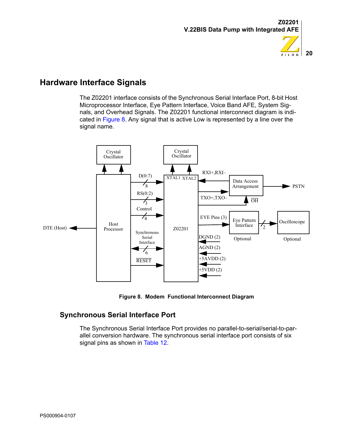

# **20**  $ZILOG$

# <span id="page-23-0"></span>**Hardware Interface Signals**

The Z02201 interface consists of the Synchronous Serial Interface Port, 8-bit Host Microprocessor Interface, Eye Pattern Interface, Voice Band AFE, System Signals, and Overhead Signals. The Z02201 functional interconnect diagram is indicated in [Figure 8.](#page-23-2) Any signal that is active Low is represented by a line over the signal name.



**Figure 8. Modem Functional Interconnect Diagram**

### <span id="page-23-2"></span><span id="page-23-1"></span>**Synchronous Serial Interface Port**

The Synchronous Serial Interface Port provides no parallel-to-serial/serial-to-parallel conversion hardware. The synchronous serial interface port consists of six signal pins as shown in [Table 12.](#page-24-2)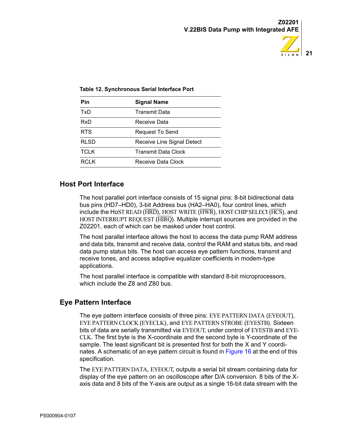

| Pin         | <b>Signal Name</b>         |
|-------------|----------------------------|
| TxD         | <b>Transmit Data</b>       |
| RxD         | Receive Data               |
| <b>RTS</b>  | <b>Request To Send</b>     |
| RLSD        | Receive Line Signal Detect |
| <b>TCLK</b> | <b>Transmit Data Clock</b> |
| RCL K       | Receive Data Clock         |

#### <span id="page-24-2"></span>**Table 12. Synchronous Serial Interface Port**

#### <span id="page-24-0"></span>**Host Port Interface**

The host parallel port interface consists of 15 signal pins: 8-bit bidirectional data bus pins (HD7–HD0), 3-bit Address bus (HA2–HA0), four control lines, which include the HoST READ ( $\overline{\text{HRD}}$ ), HOST WRITE ( $\overline{\text{HWR}}$ ), HOST CHIP SELECt ( $\overline{\text{HCS}}$ ), and HOST INTERRUPT REQUEST (HIRQ). Multiple interrupt sources are provided in the Z02201, each of which can be masked under host control.

The host parallel interface allows the host to access the data pump RAM address and data bits, transmit and receive data, control the RAM and status bits, and read data pump status bits. The host can access eye pattern functions, transmit and receive tones, and access adaptive equalizer coefficients in modem-type applications.

The host parallel interface is compatible with standard 8-bit microprocessors, which include the Z8 and Z80 bus.

#### <span id="page-24-1"></span>**Eye Pattern Interface**

The eye pattern interface consists of three pins: EYE PATTERN DATA (EYEOUT), EYE PATTERN CLOCK (EYECLK), and EYE PATTERN STROBE (EYESTB). Sixteen bits of data are serially transmitted via EYEOUT, under control of EYESTB and EYE-CLK. The first byte is the X-coordinate and the second byte is Y-coordinate of the sample. The least significant bit is presented first for both the X and Y coordinates. A schematic of an eye pattern circuit is found in [Figure 16](#page-75-1) at the end of this specification.

The EYE PATTERN DATA, EYEOUT, outputs a serial bit stream containing data for display of the eye pattern on an oscilloscope after D/A conversion. 8 bits of the Xaxis data and 8 bits of the Y-axis are output as a single 16-bit data stream with the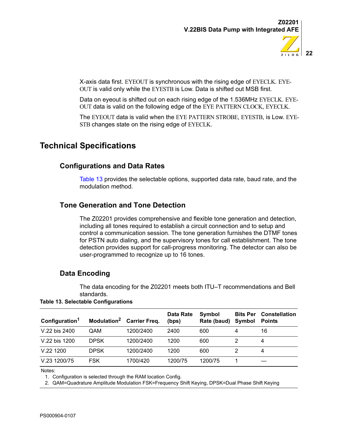

X-axis data first. EYEOUT is synchronous with the rising edge of EYECLK. EYE-OUT is valid only while the EYESTB is Low. Data is shifted out MSB first.

Data on eyeout is shifted out on each rising edge of the 1.536MHz EYECLK. EYE-OUT data is valid on the following edge of the EYE PATTERN CLOCK, EYECLK.

The EYEOUT data is valid when the EYE PATTERN STROBE, EYESTB, is Low. EYE-STB changes state on the rising edge of EYECLK.

# <span id="page-25-1"></span><span id="page-25-0"></span>**Technical Specifications**

### **Configurations and Data Rates**

[Table 13](#page-25-4) provides the selectable options, supported data rate, baud rate, and the modulation method.

### <span id="page-25-2"></span>**Tone Generation and Tone Detection**

The Z02201 provides comprehensive and flexible tone generation and detection, including all tones required to establish a circuit connection and to setup and control a communication session. The tone generation furnishes the DTMF tones for PSTN auto dialing, and the supervisory tones for call establishment. The tone detection provides support for call-progress monitoring. The detector can also be user-programmed to recognize up to 16 tones.

### <span id="page-25-3"></span>**Data Encoding**

The data encoding for the Z02201 meets both ITU–T recommendations and Bell standards.

<span id="page-25-4"></span>**Table 13. Selectable Configurations**

| Configuration <sup>1</sup> | Modulation <sup>2</sup> | <b>Carrier Freq.</b> | <b>Data Rate</b><br>(bps) | Symbol<br>Rate (baud) | <b>Bits Per</b><br>Symbol | <b>Constellation</b><br><b>Points</b> |
|----------------------------|-------------------------|----------------------|---------------------------|-----------------------|---------------------------|---------------------------------------|
| V.22 bis 2400              | QAM                     | 1200/2400            | 2400                      | 600                   | 4                         | 16                                    |
| V.22 bis 1200              | <b>DPSK</b>             | 1200/2400            | 1200                      | 600                   |                           | 4                                     |
| V.221200                   | <b>DPSK</b>             | 1200/2400            | 1200                      | 600                   |                           | 4                                     |
| V.23 1200/75               | <b>FSK</b>              | 1700/420             | 1200/75                   | 1200/75               |                           |                                       |

Notes:

1. Configuration is selected through the RAM location Config.

2. QAM=Quadrature Amplitude Modulation FSK=Frequency Shift Keying, DPSK=Dual Phase Shift Keying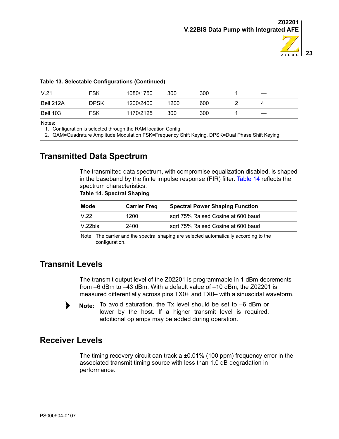

#### **Table 13. Selectable Configurations (Continued)**

| V.21            | <b>FSK</b> | 1080/1750 | 300  | 300 |  |
|-----------------|------------|-----------|------|-----|--|
| Bell 212A       | DPSK       | 1200/2400 | 1200 | 600 |  |
| <b>Bell 103</b> | <b>FSK</b> | 1170/2125 | 300  | 300 |  |

Notes:

1. Configuration is selected through the RAM location Config.

2. QAM=Quadrature Amplitude Modulation FSK=Frequency Shift Keying, DPSK=Dual Phase Shift Keying

# <span id="page-26-3"></span><span id="page-26-0"></span>**Transmitted Data Spectrum**

The transmitted data spectrum, with compromise equalization disabled, is shaped in the baseband by the finite impulse response (FIR) filter. [Table 14](#page-26-3) reflects the spectrum characteristics.

#### **Table 14. Spectral Shaping**

| 1200 | sqrt 75% Raised Cosine at 600 baud                                                     |
|------|----------------------------------------------------------------------------------------|
| 2400 | sqrt 75% Raised Cosine at 600 baud                                                     |
|      | Note: The carrier and the spectral shaping are selected automatically according to the |

### <span id="page-26-1"></span>**Transmit Levels**

The transmit output level of the Z02201 is programmable in 1 dBm decrements from –6 dBm to –43 dBm. With a default value of –10 dBm, the Z02201 is measured differentially across pins TX0+ and TX0– with a sinusoidal waveform.



Note: To avoid saturation, the Tx level should be set to -6 dBm or lower by the host. If a higher transmit level is required, additional op amps may be added during operation.

### <span id="page-26-2"></span>**Receiver Levels**

The timing recovery circuit can track a  $\pm 0.01\%$  (100 ppm) frequency error in the associated transmit timing source with less than 1.0 dB degradation in performance.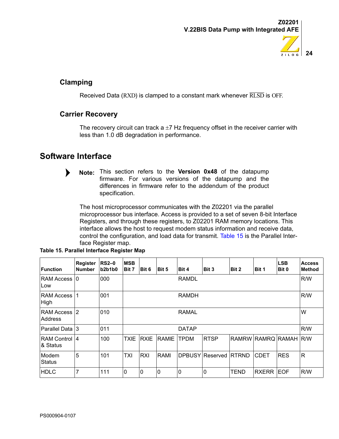

### <span id="page-27-0"></span>**Clamping**

Received Data  $(RXD)$  is clamped to a constant mark whenever  $\overline{RLSD}$  is OFF.

### <span id="page-27-1"></span>**Carrier Recovery**

The recovery circuit can track a  $\pm$ 7 Hz frequency offset in the receiver carrier with less than 1.0 dB degradation in performance.

# <span id="page-27-2"></span>**Software Interface**



**Note:** This section refers to the Version 0x48 of the datapump firmware. For various versions of the datapump and the differences in firmware refer to the addendum of the product specification.

The host microprocessor communicates with the Z02201 via the parallel microprocessor bus interface. Access is provided to a set of seven 8-bit Interface Registers, and through these registers, to Z02201 RAM memory locations. This interface allows the host to request modem status information and receive data, control the configuration, and load data for transmit. [Table 15](#page-27-3) is the Parallel Interface Register map.

| Function                         | Register<br><b>Number</b> | $RS2-0$<br>b2b1b0 | <b>MSB</b><br>Bit 7 | Bit 6        | Bit 5          | Bit 4        | Bit 3           | Bit 2        | Bit 1        | <b>LSB</b><br>Bit 0 | <b>Access</b><br><b>Method</b> |
|----------------------------------|---------------------------|-------------------|---------------------|--------------|----------------|--------------|-----------------|--------------|--------------|---------------------|--------------------------------|
| <b>RAM Access 0</b><br>Low       |                           | 000               |                     |              |                | <b>RAMDL</b> |                 |              |              |                     | R/W                            |
| <b>RAM Access</b><br>High        |                           | 001               |                     | <b>RAMDH</b> |                |              |                 |              | R/W          |                     |                                |
| <b>RAM Access</b><br>Address     | $\overline{2}$            | 010               |                     | <b>RAMAL</b> |                |              |                 |              |              |                     | W                              |
| Parallel Data 3                  |                           | 011               |                     |              |                | <b>DATAP</b> |                 |              |              |                     | R/W                            |
| <b>RAM Control 4</b><br>& Status |                           | 100               | <b>TXIE</b>         | <b>RXIE</b>  | <b>RAMIE</b>   | <b>TPDM</b>  | <b>RTSP</b>     | <b>RAMRW</b> | <b>RAMRQ</b> | <b>RAMAH R/W</b>    |                                |
| Modem<br><b>Status</b>           | 5                         | 101               | <b>TXI</b>          | <b>RXI</b>   | <b>RAMI</b>    |              | DPBUSY Reserved | RTRND        | <b>CDET</b>  | <b>RES</b>          | $\mathsf{R}$                   |
| <b>HDLC</b>                      |                           | 111               | 0                   | 0            | $\overline{0}$ | $\mathbf 0$  | 0               | TEND         | RXERR        | <b>EOF</b>          | R/W                            |

<span id="page-27-3"></span>**Table 15. Parallel Interface Register Map**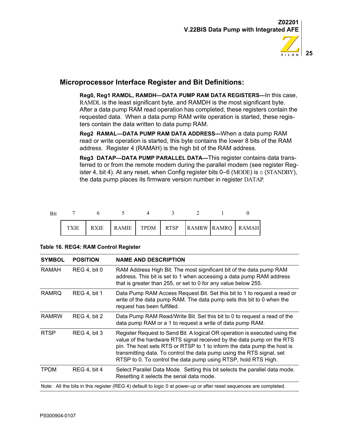

### <span id="page-28-0"></span>**Microprocessor Interface Register and Bit Definitions:**

**Reg0, Reg1 RAMDL, RAMDH—DATA PUMP RAM DATA REGISTERS—**In this case, RAMDL is the least significant byte, and RAMDH is the most significant byte. After a data pump RAM read operation has completed, these registers contain the requested data. When a data pump RAM write operation is started, these registers contain the data written to data pump RAM.

**Reg2 RAMAL—DATA PUMP RAM DATA ADDRESS—**When a data pump RAM read or write operation is started, this byte contains the lower 8 bits of the RAM address. Register 4 (RAMAH) is the high bit of the RAM address.

**Reg3 DATAP—DATA PUMP PARALLEL DATA—**This register contains data transferred to or from the remote modem during the parallel modem (see register Register 4, bit 4). At any reset, when Config register bits 0–6 (MODE) is 0 (STANDBY), the data pump places its firmware version number in register DATAP.

| <b>Bit</b> |  |                                                    |  |  |  |
|------------|--|----------------------------------------------------|--|--|--|
|            |  | RXIE   RAMIE   TPDM   RTSP   RAMRW   RAMRQ   RAMAH |  |  |  |

| <b>SYMBOL</b> | <b>POSITION</b>                                                                                                    | <b>NAME AND DESCRIPTION</b>                                                                                                                                                                                                                                                                                                                                               |  |  |  |  |  |
|---------------|--------------------------------------------------------------------------------------------------------------------|---------------------------------------------------------------------------------------------------------------------------------------------------------------------------------------------------------------------------------------------------------------------------------------------------------------------------------------------------------------------------|--|--|--|--|--|
| RAMAH         | <b>REG 4, bit 0</b>                                                                                                | RAM Address High Bit. The most significant bit of the data pump RAM<br>address. This bit is set to 1 when accessing a data pump RAM address<br>that is greater than 255, or set to 0 for any value below 255.                                                                                                                                                             |  |  |  |  |  |
| RAMRO         | <b>REG 4, bit 1</b>                                                                                                | Data Pump RAM Access Request Bit. Set this bit to 1 to request a read or<br>write of the data pump RAM. The data pump sets this bit to 0 when the<br>request has been fulfilled.                                                                                                                                                                                          |  |  |  |  |  |
| <b>RAMRW</b>  | <b>REG 4, bit 2</b>                                                                                                | Data Pump RAM Read/Write Bit. Set this bit to 0 to request a read of the<br>data pump RAM or a 1 to request a write of data pump RAM.                                                                                                                                                                                                                                     |  |  |  |  |  |
| <b>RTSP</b>   | <b>REG 4, bit 3</b>                                                                                                | Register Request to Send Bit. A logical OR operation is executed using the<br>value of the hardware RTS signal received by the data pump on the RTS<br>pin. The host sets RTS or RTSP to 1 to inform the data pump the host is<br>transmitting data. To control the data pump using the RTS signal, set<br>RTSP to 0. To control the data pump using RTSP, hold RTS High. |  |  |  |  |  |
| <b>TPDM</b>   | <b>REG 4, bit 4</b>                                                                                                | Select Parallel Data Mode. Setting this bit selects the parallel data mode.<br>Resetting it selects the serial data mode.                                                                                                                                                                                                                                                 |  |  |  |  |  |
|               | Note: All the bits in this register (REG 4) default to logic 0 at power-up or after reset sequences are completed. |                                                                                                                                                                                                                                                                                                                                                                           |  |  |  |  |  |

#### **Table 16. REG4: RAM Control Register**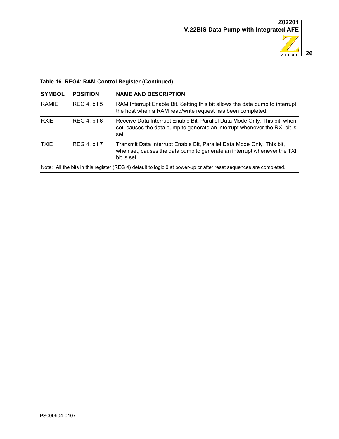

### **Table 16. REG4: RAM Control Register (Continued)**

| <b>SYMBOL</b> | <b>POSITION</b>                                                                                                    | <b>NAME AND DESCRIPTION</b>                                                                                                                                       |  |  |  |  |  |
|---------------|--------------------------------------------------------------------------------------------------------------------|-------------------------------------------------------------------------------------------------------------------------------------------------------------------|--|--|--|--|--|
| <b>RAMIE</b>  | <b>REG 4, bit 5</b>                                                                                                | RAM Interrupt Enable Bit. Setting this bit allows the data pump to interrupt<br>the host when a RAM read/write request has been completed.                        |  |  |  |  |  |
| <b>RXIE</b>   | <b>REG 4, bit 6</b>                                                                                                | Receive Data Interrupt Enable Bit, Parallel Data Mode Only. This bit, when<br>set, causes the data pump to generate an interrupt whenever the RXI bit is<br>set.  |  |  |  |  |  |
| <b>TXIE</b>   | <b>REG 4. bit 7</b>                                                                                                | Transmit Data Interrupt Enable Bit, Parallel Data Mode Only. This bit,<br>when set, causes the data pump to generate an interrupt whenever the TXI<br>bit is set. |  |  |  |  |  |
|               | Note: All the bits in this register (REG 4) default to logic 0 at power-up or after reset sequences are completed. |                                                                                                                                                                   |  |  |  |  |  |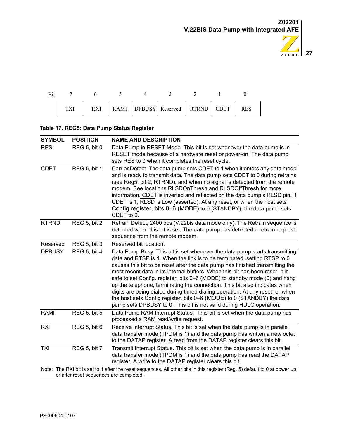

|  | RXI |  | RAMI DPBUSY Reserved RTRND CDET |  | <b>RES</b> |
|--|-----|--|---------------------------------|--|------------|

### **Table 17. REG5: Data Pump Status Register**

| <b>SYMBOL</b> | <b>POSITION</b>                         | <b>NAME AND DESCRIPTION</b>                                                                                                                                                                                                                                                                                                                                                                                                                                                                                                                                                                                                                                                                                            |
|---------------|-----------------------------------------|------------------------------------------------------------------------------------------------------------------------------------------------------------------------------------------------------------------------------------------------------------------------------------------------------------------------------------------------------------------------------------------------------------------------------------------------------------------------------------------------------------------------------------------------------------------------------------------------------------------------------------------------------------------------------------------------------------------------|
| <b>RES</b>    | <b>REG 5, bit 0</b>                     | Data Pump in RESET Mode. This bit is set whenever the data pump is in<br>RESET mode because of a hardware reset or power-on. The data pump<br>sets RES to 0 when it completes the reset cycle.                                                                                                                                                                                                                                                                                                                                                                                                                                                                                                                         |
| <b>CDET</b>   | <b>REG 5, bit 1</b>                     | Carrier Detect. The data pump sets CDET to 1 when it enters any data mode<br>and is ready to transmit data. The data pump sets CDET to 0 during retrains<br>(see Reg5, bit 2, RTRND), and when no signal is detected from the remote<br>modem. See locations RLSDOnThresh and RLSDOffThresh for more<br>information. CDET is inverted and reflected on the data pump's RLSD pin. If<br>CDET is 1, RLSD is Low (asserted). At any reset, or when the host sets<br>Config register, bits 0–6 (MODE) to 0 (STANDBY), the data pump sets<br>CDET to 0.                                                                                                                                                                     |
| <b>RTRND</b>  | <b>REG 5, bit 2</b>                     | Retrain Detect, 2400 bps (V.22bis data mode only). The Retrain sequence is<br>detected when this bit is set. The data pump has detected a retrain request<br>sequence from the remote modem.                                                                                                                                                                                                                                                                                                                                                                                                                                                                                                                           |
| Reserved      | <b>REG 5, bit 3</b>                     | Reserved bit location.                                                                                                                                                                                                                                                                                                                                                                                                                                                                                                                                                                                                                                                                                                 |
| <b>DPBUSY</b> | <b>REG 5, bit 4</b>                     | Data Pump Busy. This bit is set whenever the data pump starts transmitting<br>data and RTSP is 1. When the link is to be terminated, setting RTSP to 0<br>causes this bit to be reset after the data pump has finished transmitting the<br>most recent data in its internal buffers. When this bit has been reset, it is<br>safe to set Config. register, bits 0–6 (MODE) to standby mode (0) and hang<br>up the telephone, terminating the connection. This bit also indicates when<br>digits are being dialed during timed dialing operation. At any reset, or when<br>the host sets Config register, bits 0–6 (MODE) to 0 (STANDBY) the data<br>pump sets DPBUSY to 0. This bit is not valid during HDLC operation. |
| <b>RAMI</b>   | <b>REG 5, bit 5</b>                     | Data Pump RAM Interrupt Status. This bit is set when the data pump has<br>processed a RAM read/write request.                                                                                                                                                                                                                                                                                                                                                                                                                                                                                                                                                                                                          |
| <b>RXI</b>    | <b>REG 5, bit 6</b>                     | Receive Interrupt Status. This bit is set when the data pump is in parallel<br>data transfer mode (TPDM is 1) and the data pump has written a new octet<br>to the DATAP register. A read from the DATAP register clears this bit.                                                                                                                                                                                                                                                                                                                                                                                                                                                                                      |
| <b>TXI</b>    | <b>REG 5, bit 7</b>                     | Transmit Interrupt Status. This bit is set when the data pump is in parallel<br>data transfer mode (TPDM is 1) and the data pump has read the DATAP<br>register. A write to the DATAP register clears this bit.                                                                                                                                                                                                                                                                                                                                                                                                                                                                                                        |
|               | or after reset sequences are completed. | Note: The RXI bit is set to 1 after the reset sequences. All other bits in this register (Reg. 5) default to 0 at power up                                                                                                                                                                                                                                                                                                                                                                                                                                                                                                                                                                                             |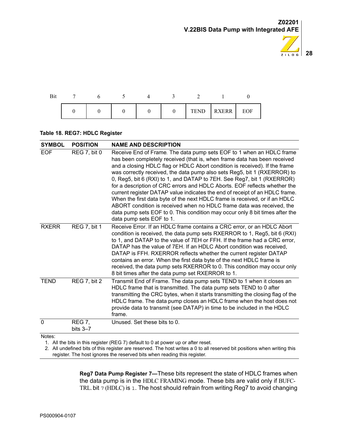

| Bi |  |  |          |            |     |
|----|--|--|----------|------------|-----|
|    |  |  | $\theta$ | TEND RXERR | EOF |

#### **Table 18. REG7: HDLC Register**

| <b>SYMBOL</b> | <b>POSITION</b>               | <b>NAME AND DESCRIPTION</b>                                                                                                                                                                                                                                                                                                                                                                                                                                                                                                                                                                                                                                                                                                                                                                                         |
|---------------|-------------------------------|---------------------------------------------------------------------------------------------------------------------------------------------------------------------------------------------------------------------------------------------------------------------------------------------------------------------------------------------------------------------------------------------------------------------------------------------------------------------------------------------------------------------------------------------------------------------------------------------------------------------------------------------------------------------------------------------------------------------------------------------------------------------------------------------------------------------|
| <b>EOF</b>    | REG 7, bit 0                  | Receive End of Frame. The data pump sets EOF to 1 when an HDLC frame<br>has been completely received (that is, when frame data has been received<br>and a closing HDLC flag or HDLC Abort condition is received). If the frame<br>was correctly received, the data pump also sets Reg5, bit 1 (RXERROR) to<br>0, Reg5, bit 6 (RXI) to 1, and DATAP to 7EH. See Reg7, bit 1 (RXERROR)<br>for a description of CRC errors and HDLC Aborts. EOF reflects whether the<br>current register DATAP value indicates the end of receipt of an HDLC frame.<br>When the first data byte of the next HDLC frame is received, or if an HDLC<br>ABORT condition is received when no HDLC frame data was received, the<br>data pump sets EOF to 0. This condition may occur only 8 bit times after the<br>data pump sets EOF to 1. |
| <b>RXERR</b>  | <b>REG 7, bit 1</b>           | Receive Error. If an HDLC frame contains a CRC error, or an HDLC Abort<br>condition is received, the data pump sets RXERROR to 1, Reg5, bit 6 (RXI)<br>to 1, and DATAP to the value of 7EH or FFH. If the frame had a CRC error,<br>DATAP has the value of 7EH. If an HDLC Abort condition was received,<br>DATAP is FFH. RXERROR reflects whether the current register DATAP<br>contains an error. When the first data byte of the next HDLC frame is<br>received, the data pump sets RXERROR to 0. This condition may occur only<br>8 bit times after the data pump set RXERROR to 1.                                                                                                                                                                                                                             |
| <b>TEND</b>   | REG 7, bit 2                  | Transmit End of Frame. The data pump sets TEND to 1 when it closes an<br>HDLC frame that is transmitted. The data pump sets TEND to 0 after<br>transmitting the CRC bytes, when it starts transmitting the closing flag of the<br>HDLC frame. The data pump closes an HDLC frame when the host does not<br>provide data to transmit (see DATAP) in time to be included in the HDLC<br>frame.                                                                                                                                                                                                                                                                                                                                                                                                                        |
| $\mathbf 0$   | <b>REG 7,</b><br>bits $3 - 7$ | Unused. Set these bits to 0.                                                                                                                                                                                                                                                                                                                                                                                                                                                                                                                                                                                                                                                                                                                                                                                        |
| Notes:        |                               |                                                                                                                                                                                                                                                                                                                                                                                                                                                                                                                                                                                                                                                                                                                                                                                                                     |

1. All the bits in this register (REG 7) default to 0 at power up or after reset.

2. All undefined bits of this register are reserved. The host writes a 0 to all reserved bit positions when writing this register. The host ignores the reserved bits when reading this register.

> **Reg7 Data Pump Register 7—**These bits represent the state of HDLC frames when the data pump is in the HDLC FRAMING mode. These bits are valid only if BUFC-TRL. bit 7 (HDLC) is 1. The host should refrain from writing Reg7 to avoid changing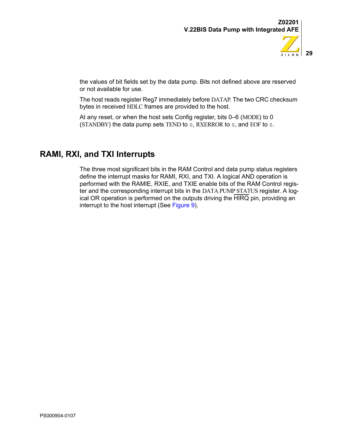

the values of bit fields set by the data pump. Bits not defined above are reserved or not available for use.

The host reads register Reg7 immediately before DATAP. The two CRC checksum bytes in received HDLC frames are provided to the host.

At any reset, or when the host sets Config register, bits 0–6 (MODE) to 0 (STANDBY) the data pump sets TEND to 0, RXERROR to 0, and EOF to 0.

# <span id="page-32-0"></span>**RAMI, RXI, and TXI Interrupts**

The three most significant bits in the RAM Control and data pump status registers define the interrupt masks for RAMI, RXI, and TXI. A logical AND operation is performed with the RAMIE, RXIE, and TXIE enable bits of the RAM Control register and the corresponding interrupt bits in the DATA PUMP STATUS register. A logical OR operation is performed on the outputs driving the HIRQ pin, providing an interrupt to the host interrupt (See [Figure 9\)](#page-33-2).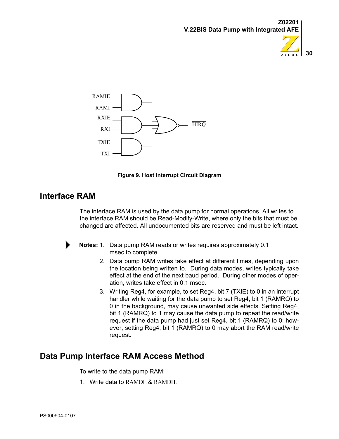







# <span id="page-33-2"></span><span id="page-33-0"></span>**Interface RAM**

The interface RAM is used by the data pump for normal operations. All writes to the interface RAM should be Read-Modify-Write, where only the bits that must be changed are affected. All undocumented bits are reserved and must be left intact.



Notes: 1. Data pump RAM reads or writes requires approximately 0.1 msec to complete.

- 2. Data pump RAM writes take effect at different times, depending upon the location being written to. During data modes, writes typically take effect at the end of the next baud period. During other modes of operation, writes take effect in 0.1 msec.
- 3. Writing Reg4, for example, to set Reg4, bit 7 (TXIE) to 0 in an interrupt handler while waiting for the data pump to set Reg4, bit 1 (RAMRQ) to 0 in the background, may cause unwanted side effects. Setting Reg4, bit 1 (RAMRQ) to 1 may cause the data pump to repeat the read/write request if the data pump had just set Reg4, bit 1 (RAMRQ) to 0; however, setting Reg4, bit 1 (RAMRQ) to 0 may abort the RAM read/write request.

# <span id="page-33-1"></span>**Data Pump Interface RAM Access Method**

To write to the data pump RAM:

1. Write data to RAMDL & RAMDH.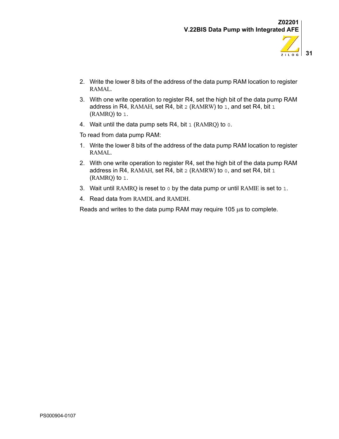

 $Z$  i  $L$  0 G

- 2. Write the lower 8 bits of the address of the data pump RAM location to register RAMAL.
- 3. With one write operation to register R4, set the high bit of the data pump RAM address in R4, RAMAH, set R4, bit 2 (RAMRW) to 1, and set R4, bit 1 (RAMRQ) to 1.
- 4. Wait until the data pump sets R4, bit  $1$  (RAMRQ) to  $0$ .

To read from data pump RAM:

- 1. Write the lower 8 bits of the address of the data pump RAM location to register RAMAL.
- 2. With one write operation to register R4, set the high bit of the data pump RAM address in R4, RAMAH, set R4, bit  $2$  (RAMRW) to  $0$ , and set R4, bit  $1$ (RAMRQ) to 1.
- 3. Wait until RAMRQ is reset to 0 by the data pump or until RAMIE is set to 1.
- 4. Read data from RAMDL and RAMDH.

Reads and writes to the data pump RAM may require 105 μs to complete.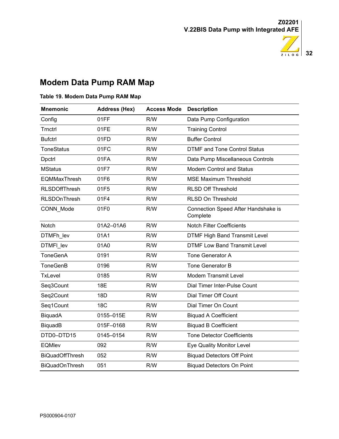

# <span id="page-35-0"></span>**Modem Data Pump RAM Map**

#### **Table 19. Modem Data Pump RAM Map**

| <b>Mnemonic</b>        | <b>Address (Hex)</b> | <b>Access Mode Description</b> |                                                 |
|------------------------|----------------------|--------------------------------|-------------------------------------------------|
| Config                 | 01FF                 | R/W                            | Data Pump Configuration                         |
| Trnctrl                | 01FE                 | R/W                            | <b>Training Control</b>                         |
| <b>Bufctrl</b>         | 01FD                 | R/W                            | <b>Buffer Control</b>                           |
| <b>ToneStatus</b>      | 01FC                 | R/W                            | <b>DTMF and Tone Control Status</b>             |
| Dpctrl                 | 01FA                 | R/W                            | Data Pump Miscellaneous Controls                |
| <b>MStatus</b>         | 01F7                 | R/W                            | <b>Modem Control and Status</b>                 |
| <b>EQMMaxThresh</b>    | 01F6                 | R/W                            | <b>MSE Maximum Threshold</b>                    |
| <b>RLSDOffThresh</b>   | 01F5                 | R/W                            | <b>RLSD Off Threshold</b>                       |
| <b>RLSDOnThresh</b>    | 01F4                 | R/W                            | <b>RLSD On Threshold</b>                        |
| CONN Mode              | 01F0                 | R/W                            | Connection Speed After Handshake is<br>Complete |
| Notch                  | 01A2-01A6            | R/W                            | <b>Notch Filter Coefficients</b>                |
| DTMFh lev              | 01A1                 | R/W                            | <b>DTMF High Band Transmit Level</b>            |
| DTMFI lev              | 01A0                 | R/W                            | <b>DTMF Low Band Transmit Level</b>             |
| <b>ToneGenA</b>        | 0191                 | R/W                            | <b>Tone Generator A</b>                         |
| <b>ToneGenB</b>        | 0196                 | R/W                            | <b>Tone Generator B</b>                         |
| <b>TxLevel</b>         | 0185                 | R/W                            | <b>Modem Transmit Level</b>                     |
| Seq3Count              | 18E                  | R/W                            | Dial Timer Inter-Pulse Count                    |
| Seq2Count              | 18D                  | R/W                            | Dial Timer Off Count                            |
| Seq1Count              | <b>18C</b>           | R/W                            | Dial Timer On Count                             |
| BiquadA                | 0155-015E            | R/W                            | <b>Biquad A Coefficient</b>                     |
| BiquadB                | 015F-0168            | R/W                            | <b>Biquad B Coefficient</b>                     |
| DTD0-DTD15             | 0145-0154            | R/W                            | <b>Tone Detector Coefficients</b>               |
| <b>EQMIev</b>          | 092                  | R/W                            | Eye Quality Monitor Level                       |
| <b>BiQuadOffThresh</b> | 052                  | R/W                            | <b>Biquad Detectors Off Point</b>               |
| <b>BiQuadOnThresh</b>  | 051                  | R/W                            | <b>Biquad Detectors On Point</b>                |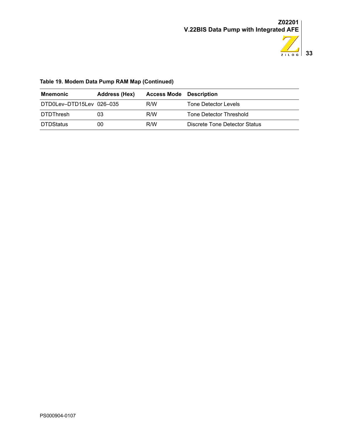

## **Table 19. Modem Data Pump RAM Map (Continued)**

| Mnemonic                 | Address (Hex) | <b>Access Mode</b> Description |                               |
|--------------------------|---------------|--------------------------------|-------------------------------|
| DTD0Lev-DTD15Lev 026-035 |               | R/W                            | Tone Detector Levels          |
| <b>DTDThresh</b>         | 03            | R/W                            | Tone Detector Threshold       |
| <b>DTDStatus</b>         | 00            | R/W                            | Discrete Tone Detector Status |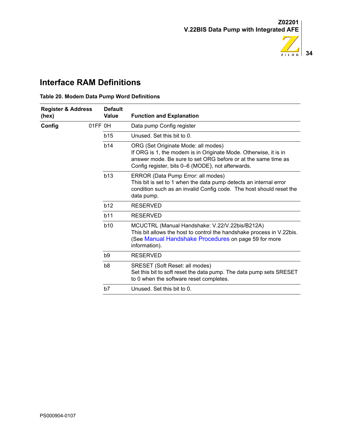

# **Interface RAM Definitions**

<span id="page-37-0"></span>**Table 20. Modem Data Pump Word Definitions**

| <b>Register &amp; Address</b><br>(hex)     | <b>Value</b>   | <b>Default</b>  | <b>Function and Explanation</b>                                                                                                                                                                                               |
|--------------------------------------------|----------------|-----------------|-------------------------------------------------------------------------------------------------------------------------------------------------------------------------------------------------------------------------------|
| Config                                     | 01FF 0H        |                 | Data pump Config register                                                                                                                                                                                                     |
|                                            | b15            |                 | Unused. Set this bit to 0.                                                                                                                                                                                                    |
|                                            | b14            |                 | ORG (Set Originate Mode: all modes)<br>If ORG is 1, the modem is in Originate Mode. Otherwise, it is in<br>answer mode. Be sure to set ORG before or at the same time as<br>Config register, bits 0-6 (MODE), not afterwards. |
|                                            | b13            |                 | ERROR (Data Pump Error: all modes)<br>This bit is set to 1 when the data pump detects an internal error<br>condition such as an invalid Config code. The host should reset the<br>data pump.                                  |
| b12<br>b11<br><b>b10</b><br>b <sub>9</sub> |                | <b>RESERVED</b> |                                                                                                                                                                                                                               |
|                                            |                |                 | <b>RESERVED</b>                                                                                                                                                                                                               |
|                                            |                |                 | MCUCTRL (Manual Handshake: V.22/V.22bis/B212A)<br>This bit allows the host to control the handshake process in V.22bis.<br>(See Manual Handshake Procedures on page 59 for more<br>information).                              |
|                                            |                |                 | <b>RESERVED</b>                                                                                                                                                                                                               |
|                                            | b <sub>8</sub> |                 | SRESET (Soft Reset: all modes)<br>Set this bit to soft reset the data pump. The data pump sets SRESET<br>to 0 when the software reset completes.                                                                              |
|                                            | b7             |                 | Unused. Set this bit to 0.                                                                                                                                                                                                    |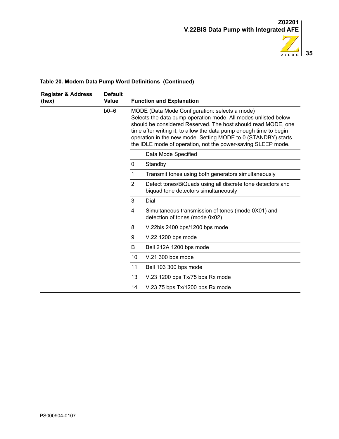

| <b>Register &amp; Address</b><br>(hex) | <b>Default</b><br><b>Value</b> |                                                                                                                                                                                                                                                                                                                                                                                          | <b>Function and Explanation</b>                                                                    |
|----------------------------------------|--------------------------------|------------------------------------------------------------------------------------------------------------------------------------------------------------------------------------------------------------------------------------------------------------------------------------------------------------------------------------------------------------------------------------------|----------------------------------------------------------------------------------------------------|
|                                        | $b0-6$                         | MODE (Data Mode Configuration: selects a mode)<br>Selects the data pump operation mode. All modes unlisted below<br>should be considered Reserved. The host should read MODE, one<br>time after writing it, to allow the data pump enough time to begin<br>operation in the new mode. Setting MODE to 0 (STANDBY) starts<br>the IDLE mode of operation, not the power-saving SLEEP mode. |                                                                                                    |
|                                        |                                |                                                                                                                                                                                                                                                                                                                                                                                          | Data Mode Specified                                                                                |
|                                        |                                | 0                                                                                                                                                                                                                                                                                                                                                                                        | Standby                                                                                            |
|                                        |                                | 1                                                                                                                                                                                                                                                                                                                                                                                        | Transmit tones using both generators simultaneously                                                |
|                                        |                                | 2                                                                                                                                                                                                                                                                                                                                                                                        | Detect tones/BiQuads using all discrete tone detectors and<br>biquad tone detectors simultaneously |
|                                        |                                | 3                                                                                                                                                                                                                                                                                                                                                                                        | Dial                                                                                               |
|                                        |                                | 4                                                                                                                                                                                                                                                                                                                                                                                        | Simultaneous transmission of tones (mode 0X01) and<br>detection of tones (mode 0x02)               |
|                                        |                                | 8                                                                                                                                                                                                                                                                                                                                                                                        | V.22bis 2400 bps/1200 bps mode                                                                     |
|                                        |                                | 9                                                                                                                                                                                                                                                                                                                                                                                        | V.22 1200 bps mode                                                                                 |
|                                        |                                | B                                                                                                                                                                                                                                                                                                                                                                                        | Bell 212A 1200 bps mode                                                                            |
|                                        |                                | 10                                                                                                                                                                                                                                                                                                                                                                                       | V.21 300 bps mode                                                                                  |
|                                        |                                | 11                                                                                                                                                                                                                                                                                                                                                                                       | Bell 103 300 bps mode                                                                              |
|                                        |                                | 13                                                                                                                                                                                                                                                                                                                                                                                       | V.23 1200 bps Tx/75 bps Rx mode                                                                    |
|                                        |                                | 14                                                                                                                                                                                                                                                                                                                                                                                       | V.23 75 bps Tx/1200 bps Rx mode                                                                    |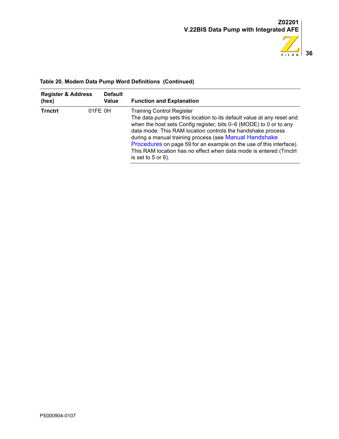

| <b>Register &amp; Address</b><br>(hex) | <b>Default</b><br><b>Value</b> | <b>Function and Explanation</b>                                                                                                                                                                                                                                                                                                                                                                                                                                                   |
|----------------------------------------|--------------------------------|-----------------------------------------------------------------------------------------------------------------------------------------------------------------------------------------------------------------------------------------------------------------------------------------------------------------------------------------------------------------------------------------------------------------------------------------------------------------------------------|
| <b>Trnctrl</b>                         | 01FE 0H                        | <b>Training Control Register</b><br>The data pump sets this location to its default value at any reset and<br>when the host sets Config register, bits 0–6 (MODE) to 0 or to any<br>data mode. This RAM location controls the handshake process<br>during a manual training process (see Manual Handshake<br>Procedures on page 59 for an example on the use of this interface).<br>This RAM location has no effect when data mode is entered (Trnctrl<br>is set to $5$ or $6$ ). |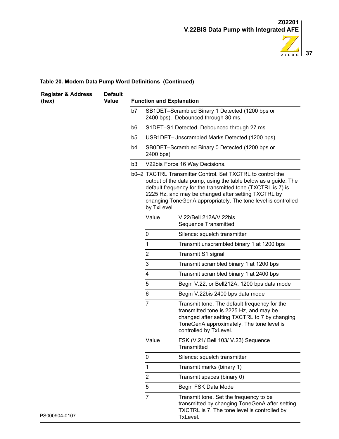

| <b>Register &amp; Address</b><br>(hex) | <b>Default</b><br><b>Value</b> |                | <b>Function and Explanation</b> |                                                                                                                                                                                                                                                                                                                     |
|----------------------------------------|--------------------------------|----------------|---------------------------------|---------------------------------------------------------------------------------------------------------------------------------------------------------------------------------------------------------------------------------------------------------------------------------------------------------------------|
|                                        |                                | b7             |                                 | SB1DET-Scrambled Binary 1 Detected (1200 bps or<br>2400 bps). Debounced through 30 ms.                                                                                                                                                                                                                              |
|                                        |                                | b6             |                                 | S1DET-S1 Detected. Debounced through 27 ms                                                                                                                                                                                                                                                                          |
|                                        |                                | b <sub>5</sub> |                                 | USB1DET-Unscrambled Marks Detected (1200 bps)                                                                                                                                                                                                                                                                       |
|                                        |                                | b4             | 2400 bps)                       | SB0DET-Scrambled Binary 0 Detected (1200 bps or                                                                                                                                                                                                                                                                     |
|                                        |                                | b <sub>3</sub> |                                 | V22bis Force 16 Way Decisions.                                                                                                                                                                                                                                                                                      |
|                                        | by TxLevel.                    |                |                                 | b0-2 TXCTRL Transmitter Control. Set TXCTRL to control the<br>output of the data pump, using the table below as a guide. The<br>default frequency for the transmitted tone (TXCTRL is 7) is<br>2225 Hz, and may be changed after setting TXCTRL by<br>changing ToneGenA appropriately. The tone level is controlled |
|                                        |                                |                | Value                           | V.22/Bell 212A/V.22bis<br><b>Sequence Transmitted</b>                                                                                                                                                                                                                                                               |
|                                        |                                |                | 0                               | Silence: squelch transmitter                                                                                                                                                                                                                                                                                        |
|                                        |                                |                | $\mathbf{1}$                    | Transmit unscrambled binary 1 at 1200 bps                                                                                                                                                                                                                                                                           |
|                                        |                                |                | 2                               | Transmit S1 signal                                                                                                                                                                                                                                                                                                  |
|                                        |                                |                | 3                               | Transmit scrambled binary 1 at 1200 bps                                                                                                                                                                                                                                                                             |
|                                        |                                |                | 4                               | Transmit scrambled binary 1 at 2400 bps                                                                                                                                                                                                                                                                             |
|                                        |                                |                | 5                               | Begin V.22, or Bell212A, 1200 bps data mode                                                                                                                                                                                                                                                                         |
|                                        |                                |                | 6                               | Begin V.22bis 2400 bps data mode                                                                                                                                                                                                                                                                                    |
|                                        |                                |                | $\overline{7}$                  | Transmit tone. The default frequency for the<br>transmitted tone is 2225 Hz, and may be<br>changed after setting TXCTRL to 7 by changing<br>ToneGenA approximately. The tone level is<br>controlled by TxLevel.                                                                                                     |
|                                        |                                |                | Value                           | FSK (V.21/ Bell 103/ V.23) Sequence<br>Transmitted                                                                                                                                                                                                                                                                  |
|                                        |                                |                | 0                               | Silence: squelch transmitter                                                                                                                                                                                                                                                                                        |
|                                        |                                |                | 1                               | Transmit marks (binary 1)                                                                                                                                                                                                                                                                                           |
|                                        |                                |                | $\overline{c}$                  | Transmit spaces (binary 0)                                                                                                                                                                                                                                                                                          |
|                                        |                                |                | 5                               | Begin FSK Data Mode                                                                                                                                                                                                                                                                                                 |
| PS000904-0107                          |                                |                | $\overline{7}$                  | Transmit tone. Set the frequency to be<br>transmitted by changing ToneGenA after setting<br>TXCTRL is 7. The tone level is controlled by<br>TxLevel.                                                                                                                                                                |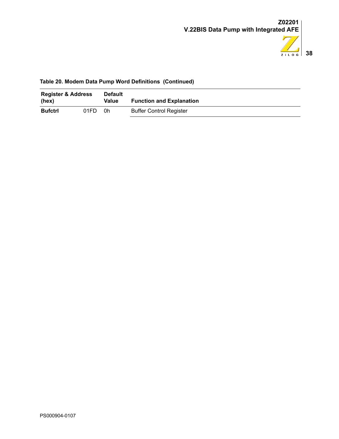

| (hex)          | <b>Register &amp; Address</b><br><b>Default</b><br>Value |    | <b>Function and Explanation</b> |
|----------------|----------------------------------------------------------|----|---------------------------------|
| <b>Bufctrl</b> | 01FD.                                                    | 0h | <b>Buffer Control Register</b>  |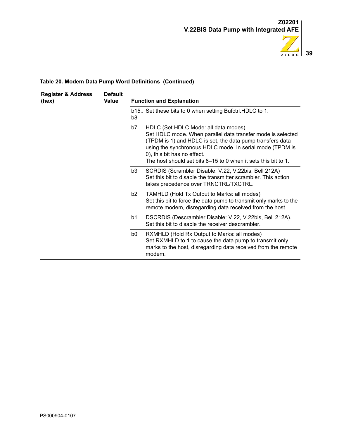

| <b>Register &amp; Address</b><br>(hex) | <b>Default</b><br>Value | <b>Function and Explanation</b> |                                                                                                                                                                                                                                                                                                                               |  |
|----------------------------------------|-------------------------|---------------------------------|-------------------------------------------------------------------------------------------------------------------------------------------------------------------------------------------------------------------------------------------------------------------------------------------------------------------------------|--|
|                                        |                         | b8                              | b15 Set these bits to 0 when setting Bufctrl. HDLC to 1.                                                                                                                                                                                                                                                                      |  |
|                                        |                         | b7                              | HDLC (Set HDLC Mode: all data modes)<br>Set HDLC mode. When parallel data transfer mode is selected<br>(TPDM is 1) and HDLC is set, the data pump transfers data<br>using the synchronous HDLC mode. In serial mode (TPDM is<br>0), this bit has no effect.<br>The host should set bits 8–15 to 0 when it sets this bit to 1. |  |
|                                        |                         | b3                              | SCRDIS (Scrambler Disable: V.22, V.22bis, Bell 212A)<br>Set this bit to disable the transmitter scrambler. This action<br>takes precedence over TRNCTRL/TXCTRL.                                                                                                                                                               |  |
|                                        |                         | b <sub>2</sub>                  | TXMHLD (Hold Tx Output to Marks: all modes)<br>Set this bit to force the data pump to transmit only marks to the<br>remote modem, disregarding data received from the host.                                                                                                                                                   |  |
|                                        |                         | b1                              | DSCRDIS (Descrambler Disable: V.22, V.22bis, Bell 212A).<br>Set this bit to disable the receiver descrambler.                                                                                                                                                                                                                 |  |
|                                        |                         | b0                              | RXMHLD (Hold Rx Output to Marks: all modes)<br>Set RXMHLD to 1 to cause the data pump to transmit only<br>marks to the host, disregarding data received from the remote<br>modem.                                                                                                                                             |  |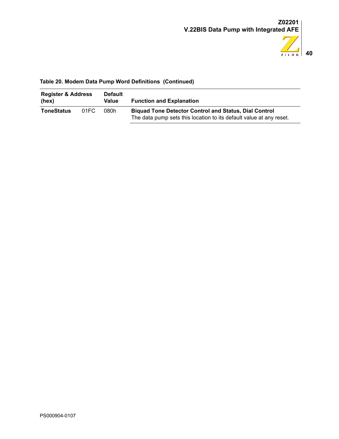

| <b>Register &amp; Address</b><br>(hex) |      | <b>Default</b><br>Value | <b>Function and Explanation</b>                                                                                                     |
|----------------------------------------|------|-------------------------|-------------------------------------------------------------------------------------------------------------------------------------|
| <b>ToneStatus</b>                      | 01FC | 080h                    | <b>Biquad Tone Detector Control and Status, Dial Control</b><br>The data pump sets this location to its default value at any reset. |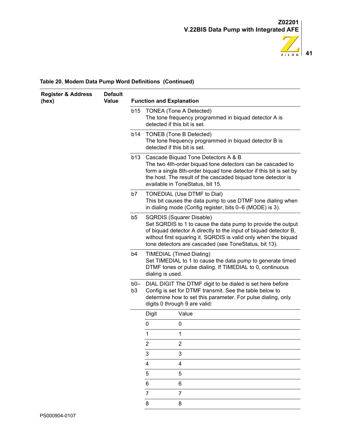

| <b>Register &amp; Address</b> | <b>Default</b> |                       |                                 |                                                                                                                                                                                                                                                                                          |
|-------------------------------|----------------|-----------------------|---------------------------------|------------------------------------------------------------------------------------------------------------------------------------------------------------------------------------------------------------------------------------------------------------------------------------------|
| (hex)                         | <b>Value</b>   |                       | <b>Function and Explanation</b> |                                                                                                                                                                                                                                                                                          |
|                               |                | <b>b15</b>            | detected if this bit is set.    | <b>TONEA (Tone A Detected)</b><br>The tone frequency programmed in biquad detector A is                                                                                                                                                                                                  |
|                               |                | b14                   | detected if this bit is set.    | <b>TONEB</b> (Tone B Detected)<br>The tone frequency programmed in biquad detector B is                                                                                                                                                                                                  |
|                               |                |                       |                                 | b13 Cascade Biquad Tone Detectors A & B<br>The two 4th-order biquad tone detectors can be cascaded to<br>form a single 8th-order biquad tone detector if this bit is set by<br>the host. The result of the cascaded biquad tone detector is<br>available in ToneStatus, bit 15.          |
|                               |                | b7                    |                                 | TONEDIAL (Use DTMF to Dial)<br>This bit causes the data pump to use DTMF tone dialing when<br>in dialing mode (Config register, bits 0-6 (MODE) is 3).                                                                                                                                   |
|                               |                | b <sub>5</sub>        |                                 | SQRDIS (Squarer Disable)<br>Set SQRDIS to 1 to cause the data pump to provide the output<br>of biquad detector A directly to the input of biquad detector B,<br>without first squaring it. SQRDIS is valid only when the biquad<br>tone detectors are cascaded (see ToneStatus, bit 13). |
|                               |                | b4                    | dialing is used.                | TIMEDIAL (Timed Dialing)<br>Set TIMEDIAL to 1 to cause the data pump to generate timed<br>DTMF tones or pulse dialing. If TIMEDIAL to 0, continuous                                                                                                                                      |
|                               |                | b0—<br>b <sub>3</sub> |                                 | DIAL DIGIT The DTMF digit to be dialed is set here before<br>Config is set for DTMF transmit. See the table below to<br>determine how to set this parameter. For pulse dialing, only<br>digits 0 through 9 are valid:                                                                    |
|                               |                |                       | <b>Digit</b>                    | Value                                                                                                                                                                                                                                                                                    |
|                               |                |                       | 0                               | 0                                                                                                                                                                                                                                                                                        |
|                               |                |                       | 1                               | 1                                                                                                                                                                                                                                                                                        |
|                               |                |                       | $\overline{c}$                  | $\overline{2}$                                                                                                                                                                                                                                                                           |
|                               |                |                       | 3                               | 3                                                                                                                                                                                                                                                                                        |
|                               |                |                       | $\overline{\mathbf{4}}$         | 4                                                                                                                                                                                                                                                                                        |
|                               |                |                       | 5                               | 5                                                                                                                                                                                                                                                                                        |
|                               |                |                       | 6                               | 6                                                                                                                                                                                                                                                                                        |
|                               |                |                       | $\overline{7}$                  | $\overline{7}$                                                                                                                                                                                                                                                                           |
|                               |                |                       | 8                               | 8                                                                                                                                                                                                                                                                                        |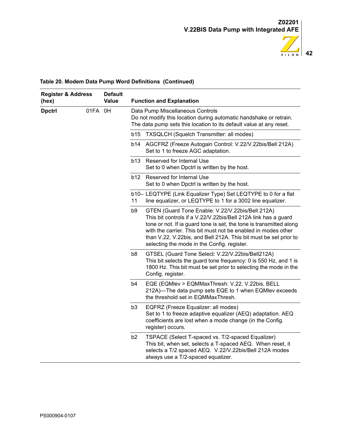

| <b>Register &amp; Address</b><br>(hex) |            | <b>Default</b><br><b>Value</b> |                                                                                                                                                                                                               | <b>Function and Explanation</b>                                                                                                                                                                                                                                                                                                                                               |
|----------------------------------------|------------|--------------------------------|---------------------------------------------------------------------------------------------------------------------------------------------------------------------------------------------------------------|-------------------------------------------------------------------------------------------------------------------------------------------------------------------------------------------------------------------------------------------------------------------------------------------------------------------------------------------------------------------------------|
| <b>Dpctrl</b>                          | 01FA<br>0H |                                |                                                                                                                                                                                                               | Data Pump Miscellaneous Controls<br>Do not modify this location during automatic handshake or retrain.<br>The data pump sets this location to its default value at any reset.                                                                                                                                                                                                 |
|                                        |            |                                | b15                                                                                                                                                                                                           | <b>TXSQLCH (Squelch Transmitter: all modes)</b>                                                                                                                                                                                                                                                                                                                               |
|                                        |            |                                | b14                                                                                                                                                                                                           | AGCFRZ (Freeze Autogain Control: V.22/V.22bis/Bell 212A)<br>Set to 1 to freeze AGC adaptation.                                                                                                                                                                                                                                                                                |
|                                        |            |                                | b13                                                                                                                                                                                                           | Reserved for Internal Use<br>Set to 0 when Dpctrl is written by the host.                                                                                                                                                                                                                                                                                                     |
|                                        |            |                                | <b>b12</b>                                                                                                                                                                                                    | Reserved for Internal Use<br>Set to 0 when Dpctrl is written by the host.                                                                                                                                                                                                                                                                                                     |
|                                        |            |                                | 11                                                                                                                                                                                                            | b10– LEQTYPE (Link Equalizer Type) Set LEQTYPE to 0 for a flat<br>line equalizer, or LEQTYPE to 1 for a 3002 line equalizer.                                                                                                                                                                                                                                                  |
|                                        |            |                                | b9                                                                                                                                                                                                            | GTEN (Guard Tone Enable: V.22/V.22bis/Bell 212A)<br>This bit controls if a V.22/V.22bis/Bell 212A link has a guard<br>tone or not. If ia guard tone is set, the tone is transmitted along<br>with the carrier. This bit must not be enabled in modes other<br>than V.22, V.22bis, and Bell 212A. This bit must be set prior to<br>selecting the mode in the Config. register. |
|                                        |            | b8                             | GTSEL (Guard Tone Select: V.22/V.22bis/Bell212A)<br>This bit selects the guard tone frequency: 0 is 550 Hz, and 1 is<br>1800 Hz. This bit must be set prior to selecting the mode in the<br>Config. register. |                                                                                                                                                                                                                                                                                                                                                                               |
|                                        |            | b4                             | EQE (EQMIev > EQMMaxThresh: V.22, V.22bis, BELL<br>212A)-The data pump sets EQE to 1 when EQMIev exceeds<br>the threshold set in EQMMaxThresh.                                                                |                                                                                                                                                                                                                                                                                                                                                                               |
|                                        |            | b <sub>3</sub>                 | EQFRZ (Freeze Equalizer: all modes)<br>Set to 1 to freeze adaptive equalizer (AEQ) adaptation. AEQ<br>coefficients are lost when a mode change (in the Config.<br>register) occurs.                           |                                                                                                                                                                                                                                                                                                                                                                               |
|                                        |            |                                | b2                                                                                                                                                                                                            | TSPACE (Select T-spaced vs. T/2-spaced Equalizer)<br>This bit, when set, selects a T-spaced AEQ. When reset, it<br>selects a T/2 spaced AEQ. V.22/V.22bis/Bell 212A modes<br>always use a T/2-spaced equalizer.                                                                                                                                                               |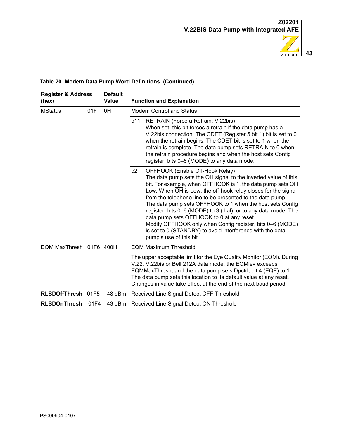

| <b>Register &amp; Address</b><br>(hex) |     | <b>Default</b><br>Value | <b>Function and Explanation</b>                                                                                                                                                                                                                                                                                                                                                                                                                                                                                                                                                                                                       |  |
|----------------------------------------|-----|-------------------------|---------------------------------------------------------------------------------------------------------------------------------------------------------------------------------------------------------------------------------------------------------------------------------------------------------------------------------------------------------------------------------------------------------------------------------------------------------------------------------------------------------------------------------------------------------------------------------------------------------------------------------------|--|
| <b>MStatus</b>                         | 01F | 0H                      | Modem Control and Status                                                                                                                                                                                                                                                                                                                                                                                                                                                                                                                                                                                                              |  |
|                                        |     |                         | <b>b11</b><br>RETRAIN (Force a Retrain: V.22bis)<br>When set, this bit forces a retrain if the data pump has a<br>V.22bis connection. The CDET (Register 5 bit 1) bit is set to 0<br>when the retrain begins. The CDET bit is set to 1 when the<br>retrain is complete. The data pump sets RETRAIN to 0 when<br>the retrain procedure begins and when the host sets Config<br>register, bits 0–6 (MODE) to any data mode.                                                                                                                                                                                                             |  |
|                                        |     |                         | b2<br>OFFHOOK (Enable Off-Hook Relay)<br>The data pump sets the OH signal to the inverted value of this<br>bit. For example, when OFFHOOK is 1, the data pump sets OH<br>Low. When OH is Low, the off-hook relay closes for the signal<br>from the telephone line to be presented to the data pump.<br>The data pump sets OFFHOOK to 1 when the host sets Config<br>register, bits 0-6 (MODE) to 3 (dial), or to any data mode. The<br>data pump sets OFFHOOK to 0 at any reset.<br>Modify OFFHOOK only when Config register, bits 0–6 (MODE)<br>is set to 0 (STANDBY) to avoid interference with the data<br>pump's use of this bit. |  |
| EQM MaxThresh 01F6 400H                |     |                         | <b>EQM Maximum Threshold</b>                                                                                                                                                                                                                                                                                                                                                                                                                                                                                                                                                                                                          |  |
|                                        |     |                         | The upper acceptable limit for the Eye Quality Monitor (EQM). During<br>V.22, V.22bis or Bell 212A data mode, the EQMIev exceeds<br>EQMMaxThresh, and the data pump sets Dpctrl, bit 4 (EQE) to 1.<br>The data pump sets this location to its default value at any reset.<br>Changes in value take effect at the end of the next baud period.                                                                                                                                                                                                                                                                                         |  |
| RLSDOffThresh 01F5 -48 dBm             |     |                         | Received Line Signal Detect OFF Threshold                                                                                                                                                                                                                                                                                                                                                                                                                                                                                                                                                                                             |  |
| <b>RLSDOnThresh</b>                    |     | 01F4 -43 dBm            | Received Line Signal Detect ON Threshold                                                                                                                                                                                                                                                                                                                                                                                                                                                                                                                                                                                              |  |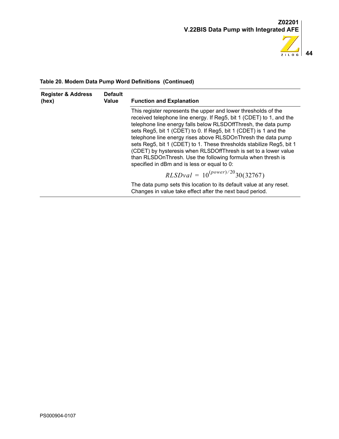

| <b>Register &amp; Address</b><br><b>Default</b><br>Value<br>(hex) |                                                                                                                                                                                                                                                                                                                                                                                                                                                                                                                                                                                                      | <b>Function and Explanation</b>                                                                                                 |
|-------------------------------------------------------------------|------------------------------------------------------------------------------------------------------------------------------------------------------------------------------------------------------------------------------------------------------------------------------------------------------------------------------------------------------------------------------------------------------------------------------------------------------------------------------------------------------------------------------------------------------------------------------------------------------|---------------------------------------------------------------------------------------------------------------------------------|
|                                                                   | This register represents the upper and lower thresholds of the<br>received telephone line energy. If Reg5, bit 1 (CDET) to 1, and the<br>telephone line energy falls below RLSDOffThresh, the data pump<br>sets Reg5, bit 1 (CDET) to 0. If Reg5, bit 1 (CDET) is 1 and the<br>telephone line energy rises above RLSDOnThresh the data pump<br>sets Reg5, bit 1 (CDET) to 1. These thresholds stabilize Reg5, bit 1<br>(CDET) by hysteresis when RLSDOffThresh is set to a lower value<br>than RLSDOnThresh. Use the following formula when thresh is<br>specified in dBm and is less or equal to 0: |                                                                                                                                 |
|                                                                   |                                                                                                                                                                                                                                                                                                                                                                                                                                                                                                                                                                                                      | $RLSDval = 10^{(power)/20}30(32767)$                                                                                            |
|                                                                   |                                                                                                                                                                                                                                                                                                                                                                                                                                                                                                                                                                                                      | The data pump sets this location to its default value at any reset.<br>Changes in value take effect after the next baud period. |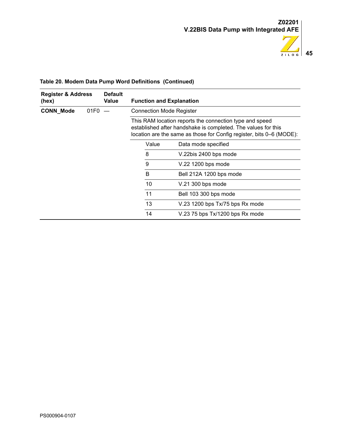

| <b>Default</b><br><b>Register &amp; Address</b><br>Value<br>(hex) |                  |  | <b>Function and Explanation</b>                                                                                                                                                                  |    |                         |  |  |
|-------------------------------------------------------------------|------------------|--|--------------------------------------------------------------------------------------------------------------------------------------------------------------------------------------------------|----|-------------------------|--|--|
| <b>CONN_Mode</b>                                                  | 01F <sub>0</sub> |  | <b>Connection Mode Register</b>                                                                                                                                                                  |    |                         |  |  |
|                                                                   |                  |  | This RAM location reports the connection type and speed<br>established after handshake is completed. The values for this<br>location are the same as those for Config register, bits 0–6 (MODE): |    |                         |  |  |
|                                                                   |                  |  | Value<br>Data mode specified                                                                                                                                                                     |    |                         |  |  |
|                                                                   |                  |  | 8                                                                                                                                                                                                |    | V.22bis 2400 bps mode   |  |  |
|                                                                   |                  |  |                                                                                                                                                                                                  | 9  | V.22 1200 bps mode      |  |  |
|                                                                   |                  |  |                                                                                                                                                                                                  | B  | Bell 212A 1200 bps mode |  |  |
|                                                                   |                  |  |                                                                                                                                                                                                  | 10 | V.21 300 bps mode       |  |  |
|                                                                   |                  |  | 11<br>Bell 103 300 bps mode<br>13<br>V.23 1200 bps Tx/75 bps Rx mode                                                                                                                             |    |                         |  |  |
|                                                                   |                  |  |                                                                                                                                                                                                  |    |                         |  |  |
|                                                                   |                  |  | 14<br>V.23 75 bps Tx/1200 bps Rx mode                                                                                                                                                            |    |                         |  |  |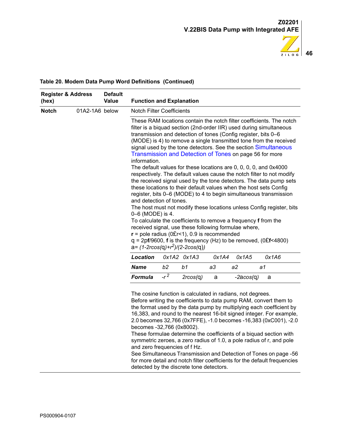

| (hex)        | <b>Register &amp; Address</b> | <b>Default</b><br>Value | <b>Function and Explanation</b>                                                                                                                    |        |             |       |                                                                                                                                                                                                                                                                                                                                                                                               |                                                                                                                                                                                                                                                                                                                                                                                                                                                                                                                                                                                                                                                                |  |
|--------------|-------------------------------|-------------------------|----------------------------------------------------------------------------------------------------------------------------------------------------|--------|-------------|-------|-----------------------------------------------------------------------------------------------------------------------------------------------------------------------------------------------------------------------------------------------------------------------------------------------------------------------------------------------------------------------------------------------|----------------------------------------------------------------------------------------------------------------------------------------------------------------------------------------------------------------------------------------------------------------------------------------------------------------------------------------------------------------------------------------------------------------------------------------------------------------------------------------------------------------------------------------------------------------------------------------------------------------------------------------------------------------|--|
| <b>Notch</b> | 01A2-1A6 below                |                         | <b>Notch Filter Coefficients</b>                                                                                                                   |        |             |       |                                                                                                                                                                                                                                                                                                                                                                                               |                                                                                                                                                                                                                                                                                                                                                                                                                                                                                                                                                                                                                                                                |  |
|              |                               |                         | information.<br>and detection of tones.<br>0-6 (MODE) is 4.<br>$r =$ pole radius (0£r<1), 0.9 is recommended<br>$a = (1-2rcos(q)+r^2)/(2-2cos(q))$ |        |             |       | transmission and detection of tones (Config register, bits 0-6<br>Transmission and Detection of Tones on page 56 for more<br>The default values for these locations are 0, 0, 0, 0, and 0x4000<br>these locations to their default values when the host sets Config<br>To calculate the coefficients to remove a frequency f from the<br>received signal, use these following formulae where, | These RAM locations contain the notch filter coefficients. The notch<br>filter is a biquad section (2nd-order IIR) used during simultaneous<br>(MODE) is 4) to remove a single transmitted tone from the received<br>signal used by the tone detectors. See the section Simultaneous<br>respectively. The default values cause the notch filter to not modify<br>the received signal used by the tone detectors. The data pump sets<br>register, bits 0–6 (MODE) to 4 to begin simultaneous transmission<br>The host must not modify these locations unless Config register, bits<br>$q = 2pf/9600$ , <b>f</b> is the frequency (Hz) to be removed, (0£f<4800) |  |
|              |                               |                         | <b>Location</b>                                                                                                                                    |        | Ox1A2 Ox1A3 | 0x1A4 | 0x1A5                                                                                                                                                                                                                                                                                                                                                                                         | 0x1A6                                                                                                                                                                                                                                                                                                                                                                                                                                                                                                                                                                                                                                                          |  |
|              |                               |                         | Name                                                                                                                                               | b2     | b1          | a3    | a2                                                                                                                                                                                                                                                                                                                                                                                            | a1                                                                                                                                                                                                                                                                                                                                                                                                                                                                                                                                                                                                                                                             |  |
|              |                               |                         | <b>Formula</b>                                                                                                                                     | $-r^2$ | 2rcos(q)    | a     | $-2acos(q)$                                                                                                                                                                                                                                                                                                                                                                                   | a                                                                                                                                                                                                                                                                                                                                                                                                                                                                                                                                                                                                                                                              |  |
|              |                               |                         | becomes -32,766 (0x8002).<br>and zero frequencies of f Hz.<br>detected by the discrete tone detectors.                                             |        |             |       | The cosine function is calculated in radians, not degrees.                                                                                                                                                                                                                                                                                                                                    | Before writing the coefficients to data pump RAM, convert them to<br>the format used by the data pump by multiplying each coefficient by<br>16,383, and round to the nearest 16-bit signed integer. For example,<br>2.0 becomes 32,766 (0x7FFE), -1.0 becomes -16,383 (0xC001), -2.0<br>These formulae determine the coefficients of a biquad section with<br>symmetric zeroes, a zero radius of 1.0, a pole radius of r, and pole<br>See Simultaneous Transmission and Detection of Tones on page -56<br>for more detail and notch filter coefficients for the default frequencies                                                                            |  |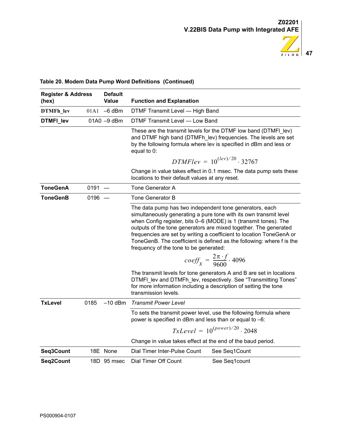

| <b>Register &amp; Address</b><br>(hex) |          | <b>Default</b><br><b>Value</b> | <b>Function and Explanation</b>                                                                                                                                                                                                                                                                                                                                                                                                                                 |  |  |  |
|----------------------------------------|----------|--------------------------------|-----------------------------------------------------------------------------------------------------------------------------------------------------------------------------------------------------------------------------------------------------------------------------------------------------------------------------------------------------------------------------------------------------------------------------------------------------------------|--|--|--|
| <b>DTMFh</b> lev                       |          | $01A1 - 6$ dBm                 | DTMF Transmit Level - High Band                                                                                                                                                                                                                                                                                                                                                                                                                                 |  |  |  |
| DTMFI_lev                              |          | 01A0 -9 dBm                    | DTMF Transmit Level - Low Band                                                                                                                                                                                                                                                                                                                                                                                                                                  |  |  |  |
|                                        |          |                                | These are the transmit levels for the DTMF low band (DTMFI_lev)<br>and DTMF high band (DTMFh_lev) frequencies. The levels are set<br>by the following formula where lev is specified in dBm and less or<br>equal to 0:                                                                                                                                                                                                                                          |  |  |  |
|                                        |          |                                | $DTMFlev = 10^{(lev)/20} \cdot 32767$                                                                                                                                                                                                                                                                                                                                                                                                                           |  |  |  |
|                                        |          |                                | Change in value takes effect in 0.1 msec. The data pump sets these<br>locations to their default values at any reset.                                                                                                                                                                                                                                                                                                                                           |  |  |  |
| <b>ToneGenA</b>                        | $0191 -$ |                                | Tone Generator A                                                                                                                                                                                                                                                                                                                                                                                                                                                |  |  |  |
| ToneGenB                               | $0196 -$ |                                | Tone Generator B                                                                                                                                                                                                                                                                                                                                                                                                                                                |  |  |  |
|                                        |          |                                | The data pump has two independent tone generators, each<br>simultaneously generating a pure tone with its own transmit level<br>when Config register, bits 0–6 (MODE) is 1 (transmit tones). The<br>outputs of the tone generators are mixed together. The generated<br>frequencies are set by writing a coefficient to location ToneGenA or<br>ToneGenB. The coefficient is defined as the following: where f is the<br>frequency of the tone to be generated: |  |  |  |
|                                        |          |                                | $coeff_{x} = \frac{2\pi \cdot f}{9600} \cdot 4096$                                                                                                                                                                                                                                                                                                                                                                                                              |  |  |  |
|                                        |          |                                | The transmit levels for tone generators A and B are set in locations<br>DTMFI lev and DTMFh lev, respectively. See "Transmitting Tones"<br>for more information including a description of setting the tone<br>transmission levels.                                                                                                                                                                                                                             |  |  |  |
| <b>TxLevel</b>                         | 0185     | $-10$ dBm                      | <b>Transmit Power Level</b>                                                                                                                                                                                                                                                                                                                                                                                                                                     |  |  |  |
|                                        |          |                                | To sets the transmit power level, use the following formula where<br>power is specified in dBm and less than or equal to -6:                                                                                                                                                                                                                                                                                                                                    |  |  |  |
|                                        |          |                                | $TxLevel = 10^{(power)/20} \cdot 2048$                                                                                                                                                                                                                                                                                                                                                                                                                          |  |  |  |
|                                        |          |                                | Change in value takes effect at the end of the baud period.                                                                                                                                                                                                                                                                                                                                                                                                     |  |  |  |
| Seq3Count                              |          | 18E None                       | Dial Timer Inter-Pulse Count<br>See Seq1Count                                                                                                                                                                                                                                                                                                                                                                                                                   |  |  |  |
| Seq2Count                              |          | 18D 95 msec                    | Dial Timer Off Count<br>See Seg1count                                                                                                                                                                                                                                                                                                                                                                                                                           |  |  |  |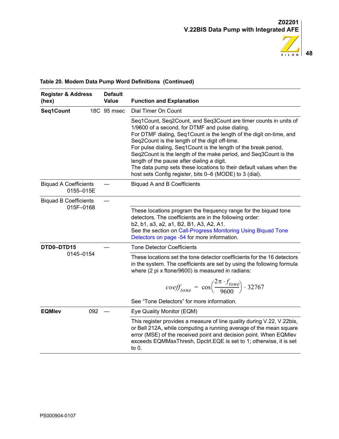

| <b>Register &amp; Address</b><br>(hex)    | <b>Default</b><br><b>Value</b> | <b>Function and Explanation</b>                                                                                                                                                                                                                                                                                                                                                                                                                                                                                                                                     |
|-------------------------------------------|--------------------------------|---------------------------------------------------------------------------------------------------------------------------------------------------------------------------------------------------------------------------------------------------------------------------------------------------------------------------------------------------------------------------------------------------------------------------------------------------------------------------------------------------------------------------------------------------------------------|
| Seq1Count                                 | 18C 95 msec                    | Dial Timer On Count                                                                                                                                                                                                                                                                                                                                                                                                                                                                                                                                                 |
|                                           |                                | Seq1Count, Seq2Count, and Seq3Count are timer counts in units of<br>1/9600 of a second, for DTMF and pulse dialing.<br>For DTMF dialing, Seq1Count is the length of the digit on-time, and<br>Seq2Count is the length of the digit off-time.<br>For pulse dialing, Seq1Count is the length of the break period,<br>Seq2Count is the length of the make period, and Seq3Count is the<br>length of the pause after dialing a digit.<br>The data pump sets these locations to their default values when the<br>host sets Config register, bits 0–6 (MODE) to 3 (dial). |
| <b>Biquad A Coefficients</b><br>0155-015E |                                | <b>Biquad A and B Coefficients</b>                                                                                                                                                                                                                                                                                                                                                                                                                                                                                                                                  |
| <b>Biquad B Coefficients</b><br>015F-0168 |                                | These locations program the frequency range for the biquad tone<br>detectors. The coefficients are in the following order:<br>b2, b1, a3, a2, a1, B2, B1, A3, A2, A1.<br>See the section on Call-Progress Monitoring Using Biquad Tone<br>Detectors on page -54 for more information.                                                                                                                                                                                                                                                                               |
| DTD0-DTD15                                |                                | <b>Tone Detector Coefficients</b>                                                                                                                                                                                                                                                                                                                                                                                                                                                                                                                                   |
| 0145-0154                                 |                                | These locations set the tone detector coefficients for the 16 detectors<br>in the system. The coefficients are set by using the following formula<br>where (2 pi x ftone/9600) is measured in radians:                                                                                                                                                                                                                                                                                                                                                              |
|                                           |                                | $coeff_{cone} = \cos\left(\frac{2\pi \cdot f_{none}}{9600}\right) \cdot 32767$                                                                                                                                                                                                                                                                                                                                                                                                                                                                                      |
|                                           |                                | See "Tone Detectors" for more information.                                                                                                                                                                                                                                                                                                                                                                                                                                                                                                                          |
| 092<br><b>EQMIev</b>                      |                                | Eye Quality Monitor (EQM)                                                                                                                                                                                                                                                                                                                                                                                                                                                                                                                                           |
|                                           |                                | This register provides a measure of line quality during V.22, V.22bis,<br>or Bell 212A, while computing a running average of the mean square<br>error (MSE) of the received point and decision point. When EQMlev<br>exceeds EQMMaxThresh, Dpctrl.EQE is set to 1; otherwise, it is set<br>to $0$ .                                                                                                                                                                                                                                                                 |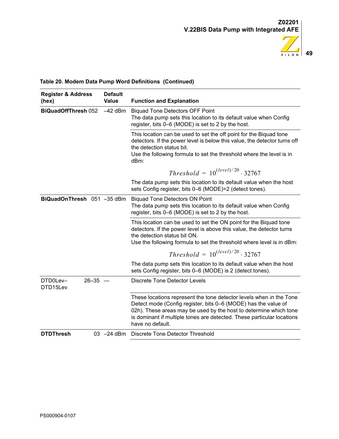

| <b>Register &amp; Address</b><br>(hex)  | <b>Default</b><br>Value | <b>Function and Explanation</b>                                                                                                                                                                                                                                                                          |
|-----------------------------------------|-------------------------|----------------------------------------------------------------------------------------------------------------------------------------------------------------------------------------------------------------------------------------------------------------------------------------------------------|
| <b>BiQuadOffThresh 052</b><br>$-42$ dBm |                         | <b>Biquad Tone Detectors OFF Point</b><br>The data pump sets this location to its default value when Config<br>register, bits 0–6 (MODE) is set to 2 by the host.                                                                                                                                        |
|                                         |                         | This location can be used to set the off point for the Biquad tone<br>detectors. If the power level is below this value, the detector turns off<br>the detection status bit.<br>Use the following formula to set the threshold where the level is in<br>dBm:                                             |
|                                         |                         | <i>Threshold</i> = $10^{(level)/20} \cdot 32767$                                                                                                                                                                                                                                                         |
|                                         |                         | The data pump sets this location to its default value when the host<br>sets Config register, bits 0–6 (MODE)=2 (detect tones).                                                                                                                                                                           |
| BiQuadOnThresh 051 -35 dBm              |                         | <b>Biquad Tone Detectors ON Point</b><br>The data pump sets this location to its default value when Config<br>register, bits 0–6 (MODE) is set to 2 by the host.                                                                                                                                         |
|                                         |                         | This location can be used to set the ON point for the Biquad tone<br>detectors. If the power level is above this value, the detector turns<br>the detection status bit ON.<br>Use the following formula to set the threshold where level is in dBm:                                                      |
|                                         |                         | <i>Threshold</i> = $10^{(level)/20} \cdot 32767$                                                                                                                                                                                                                                                         |
|                                         |                         | The data pump sets this location to its default value when the host<br>sets Config register, bits 0–6 (MODE) is 2 (detect tones).                                                                                                                                                                        |
| DTD0Lev-<br>$26 - 35 -$<br>DTD15Lev     |                         | <b>Discrete Tone Detector Levels</b>                                                                                                                                                                                                                                                                     |
|                                         |                         | These locations represent the tone detector levels when in the Tone<br>Detect mode (Config register, bits 0–6 (MODE) has the value of<br>02h). These areas may be used by the host to determine which tone<br>is dominant if multiple tones are detected. These particular locations<br>have no default. |
| <b>DTDThresh</b>                        | $03 -24$ dBm            | Discrete Tone Detector Threshold                                                                                                                                                                                                                                                                         |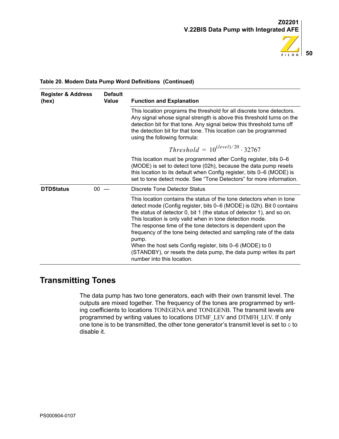

| <b>Register &amp; Address</b><br>(hex) | <b>Default</b><br>Value | <b>Function and Explanation</b>                                                                                                                                                                                                                                                                                                                                                                                                                                                                                                                                                                    |  |  |
|----------------------------------------|-------------------------|----------------------------------------------------------------------------------------------------------------------------------------------------------------------------------------------------------------------------------------------------------------------------------------------------------------------------------------------------------------------------------------------------------------------------------------------------------------------------------------------------------------------------------------------------------------------------------------------------|--|--|
|                                        |                         | This location programs the threshold for all discrete tone detectors.<br>Any signal whose signal strength is above this threshold turns on the<br>detection bit for that tone. Any signal below this threshold turns off<br>the detection bit for that tone. This location can be programmed<br>using the following formula:                                                                                                                                                                                                                                                                       |  |  |
|                                        |                         | <i>Threshold</i> = $10^{(level)/20} \cdot 32767$                                                                                                                                                                                                                                                                                                                                                                                                                                                                                                                                                   |  |  |
|                                        |                         | This location must be programmed after Config register, bits 0–6<br>(MODE) is set to detect tone (02h), because the data pump resets<br>this location to its default when Config register, bits 0–6 (MODE) is<br>set to tone detect mode. See "Tone Detectors" for more information.                                                                                                                                                                                                                                                                                                               |  |  |
| <b>DTDStatus</b>                       | 00                      | Discrete Tone Detector Status                                                                                                                                                                                                                                                                                                                                                                                                                                                                                                                                                                      |  |  |
|                                        |                         | This location contains the status of the tone detectors when in tone<br>detect mode (Config register, bits 0–6 (MODE) is 02h). Bit 0 contains<br>the status of detector 0, bit 1 (the status of detector 1), and so on.<br>This location is only valid when in tone detection mode.<br>The response time of the tone detectors is dependent upon the<br>frequency of the tone being detected and sampling rate of the data<br>pump.<br>When the host sets Config register, bits 0–6 (MODE) to 0<br>(STANDBY), or resets the data pump, the data pump writes its part<br>number into this location. |  |  |

## <span id="page-53-0"></span>**Transmitting Tones**

The data pump has two tone generators, each with their own transmit level. The outputs are mixed together. The frequency of the tones are programmed by writing coefficients to locations TONEGENA and TONEGENB. The transmit levels are programmed by writing values to locations DTMF\_LEV and DTMFH\_LEV. If only one tone is to be transmitted, the other tone generator's transmit level is set to 0 to disable it.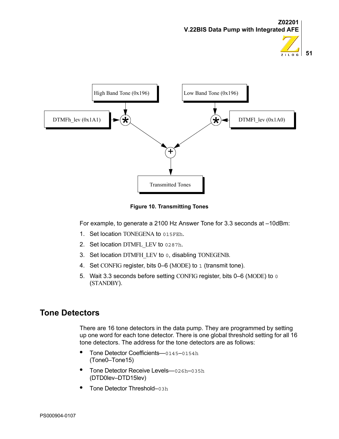



**Figure 10. Transmitting Tones**

For example, to generate a 2100 Hz Answer Tone for 3.3 seconds at –10dBm:

- 1. Set location TONEGENA to 015FEh.
- 2. Set location DTMFL LEV to 0287h.
- 3. Set location DTMFH\_LEV to 0, disabling TONEGENB.
- 4. Set CONFIG register, bits 0–6 (MODE) to 1 (transmit tone).
- 5. Wait 3.3 seconds before setting CONFIG register, bits 0–6 (MODE) to 0 (STANDBY).

## <span id="page-54-0"></span>**Tone Detectors**

There are 16 tone detectors in the data pump. They are programmed by setting up one word for each tone detector. There is one global threshold setting for all 16 tone detectors. The address for the tone detectors are as follows:

- **•** Tone Detector Coefficients—0145–0154h (Tone0–Tone15)
- **•** Tone Detector Receive Levels—026h–035h (DTD0lev–DTD15lev)
- **•** Tone Detector Threshold–03h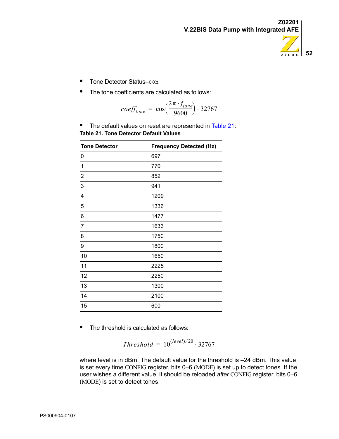

- **•** Tone Detector Status–00h
- **•** The tone coefficients are calculated as follows:

$$
coeff_{none} = \cos\left(\frac{2\pi \cdot f_{tone}}{9600}\right) \cdot 32767
$$

<span id="page-55-0"></span>**•** The default values on reset are represented in [Table 21:](#page-55-0) **Table 21. Tone Detector Default Values**

| <b>Tone Detector</b> | <b>Frequency Detected (Hz)</b> |
|----------------------|--------------------------------|
| 0                    | 697                            |
| 1                    | 770                            |
| $\overline{2}$       | 852                            |
| 3                    | 941                            |
| 4                    | 1209                           |
| 5                    | 1336                           |
| 6                    | 1477                           |
| $\overline{7}$       | 1633                           |
| 8                    | 1750                           |
| 9                    | 1800                           |
| 10                   | 1650                           |
| 11                   | 2225                           |
| 12                   | 2250                           |
| 13                   | 1300                           |
| 14                   | 2100                           |
| 15                   | 600                            |

**•** The threshold is calculated as follows:

$$
Threshold = 10^{(level)/20} \cdot 32767
$$

where level is in dBm. The default value for the threshold is -24 dBm. This value is set every time CONFIG register, bits 0–6 (MODE) is set up to detect tones. If the user wishes a different value, it should be reloaded *after* CONFIG register, bits 0–6 (MODE) is set to detect tones.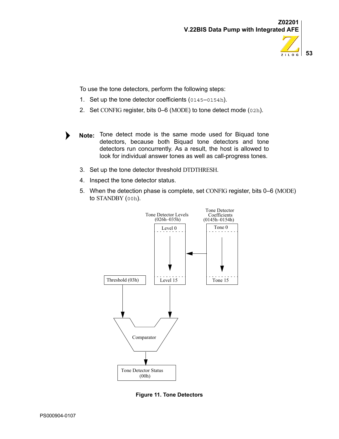

To use the tone detectors, perform the following steps:

- 1. Set up the tone detector coefficients (0145–0154h).
- 2. Set CONFIG register, bits 0–6 (MODE) to tone detect mode (02h).
- Note: Tone detect mode is the same mode used for Biquad tone detectors, because both Biquad tone detectors and tone detectors run concurrently. As a result, the host is allowed to look for individual answer tones as well as call-progress tones.
	- 3. Set up the tone detector threshold DTDTHRESH.
	- 4. Inspect the tone detector status.
	- 5. When the detection phase is complete, set CONFIG register, bits 0–6 (MODE) to STANDBY (00h).



**Figure 11. Tone Detectors**

נ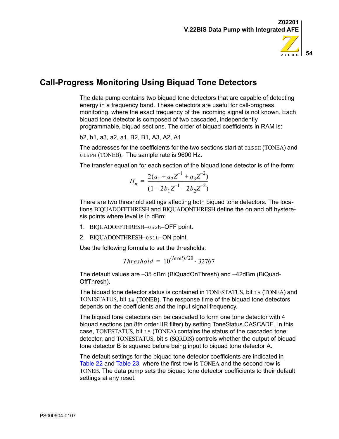

# <span id="page-57-0"></span>**Call-Progress Monitoring Using Biquad Tone Detectors**

The data pump contains two biquad tone detectors that are capable of detecting energy in a frequency band. These detectors are useful for call-progress monitoring, where the exact frequency of the incoming signal is not known. Each biquad tone detector is composed of two cascaded, independently programmable, biquad sections. The order of biquad coefficients in RAM is:

b2, b1, a3, a2, a1, B2, B1, A3, A2, A1

The addresses for the coefficients for the two sections start at 0155H (TONEA) and 015FH (TONEB). The sample rate is 9600 Hz.

The transfer equation for each section of the biquad tone detector is of the form:

$$
H_n = \frac{2(a_1 + a_2 Z^{-1} + a_3 Z^{-2})}{(1 - 2b_1 Z^{-1} - 2b_2 Z^{-2})}
$$

There are two threshold settings affecting both biquad tone detectors. The locations BIQUADOFFTHRESH and BIQUADONTHRESH define the on and off hysteresis points where level is in dBm:

- 1. BIQUADOFFTHRESH–052h–OFF point.
- 2. BIQUADONTHRESH–051h–ON point.

Use the following formula to set the thresholds:

$$
Threshold = 10^{(level)/20} \cdot 32767
$$

The default values are –35 dBm (BiQuadOnThresh) and –42dBm (BiQuad-OffThresh).

The biquad tone detector status is contained in TONESTATUS, bit 15 (TONEA) and TONESTATUS, bit 14 (TONEB). The response time of the biquad tone detectors depends on the coefficients and the input signal frequency.

The biquad tone detectors can be cascaded to form one tone detector with 4 biquad sections (an 8th order IIR filter) by setting ToneStatus.CASCADE. In this case, TONESTATUS, bit 15 (TONEA) contains the status of the cascaded tone detector, and TONESTATUS, bit 5 (SQRDIS) controls whether the output of biquad tone detector B is squared before being input to biquad tone detector A.

The default settings for the biquad tone detector coefficients are indicated in [Table 22](#page-58-0) and [Table 23](#page-58-1), where the first row is TONEA and the second row is TONEB. The data pump sets the biquad tone detector coefficients to their default settings at any reset.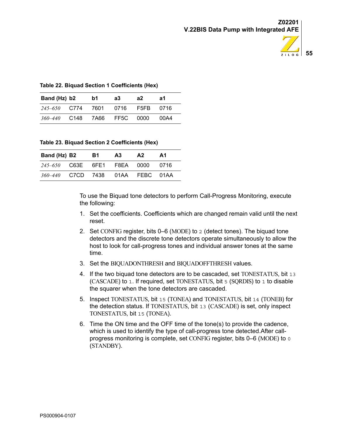

#### <span id="page-58-0"></span>**Table 22. Biquad Section 1 Coefficients (Hex)**

| Band (Hz) b2      |      | b1 | a3             | a2   | а1     |
|-------------------|------|----|----------------|------|--------|
| 245–650 C774 7601 |      |    | 0716           | F5FB | . ೧716 |
| 360–440           | C148 |    | 7A66 FF5C 0000 |      | 00A4   |

<span id="page-58-1"></span>**Table 23. Biquad Section 2 Coefficients (Hex)**

| Band (Hz) B2                     | B1. | A <sub>3</sub> | A2 | A1   |
|----------------------------------|-----|----------------|----|------|
| $245-650$ C63E 6FE1 F8EA 0000    |     |                |    | 0716 |
| 360–440 C7CD 7438 01AA FEBC 01AA |     |                |    |      |

To use the Biquad tone detectors to perform Call-Progress Monitoring, execute the following:

- 1. Set the coefficients. Coefficients which are changed remain valid until the next reset.
- 2. Set CONFIG register, bits 0–6 (MODE) to 2 (detect tones). The biquad tone detectors and the discrete tone detectors operate simultaneously to allow the host to look for call-progress tones and individual answer tones at the same time.
- 3. Set the BIQUADONTHRESH and BIQUADOFFTHRESH values.
- 4. If the two biquad tone detectors are to be cascaded, set TONESTATUS, bit 13 (CASCADE) to 1. If required, set TONESTATUS, bit 5 (SQRDIS) to 1 to disable the squarer when the tone detectors are cascaded.
- 5. Inspect TONESTATUS, bit 15 (TONEA) and TONESTATUS, bit 14 (TONEB) for the detection status. If TONESTATUS, bit 13 (CASCADE) is set, only inspect TONESTATUS, bit 15 (TONEA).
- 6. Time the ON time and the OFF time of the tone(s) to provide the cadence, which is used to identify the type of call-progress tone detected.After callprogress monitoring is complete, set CONFIG register, bits 0–6 (MODE) to 0 (STANDBY).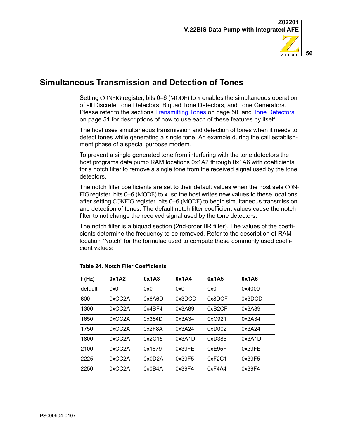

## <span id="page-59-0"></span>**Simultaneous Transmission and Detection of Tones**

Setting CONFIG register, bits 0–6 (MODE) to 4 enables the simultaneous operation of all Discrete Tone Detectors, Biquad Tone Detectors, and Tone Generators. Please refer to the sections [Transmitting Tones on page 50](#page-53-0), and [Tone Detectors](#page-54-0) [on page 51](#page-54-0) for descriptions of how to use each of these features by itself.

The host uses simultaneous transmission and detection of tones when it needs to detect tones while generating a single tone. An example during the call establishment phase of a special purpose modem.

To prevent a single generated tone from interfering with the tone detectors the host programs data pump RAM locations 0x1A2 through 0x1A6 with coefficients for a notch filter to remove a single tone from the received signal used by the tone detectors.

The notch filter coefficients are set to their default values when the host sets CON-FIG register, bits 0–6 (MODE) to 4, so the host writes new values to these locations after setting CONFIG register, bits 0–6 (MODE) to begin simultaneous transmission and detection of tones. The default notch filter coefficient values cause the notch filter to not change the received signal used by the tone detectors.

The notch filter is a biquad section (2nd-order IIR filter). The values of the coefficients determine the frequency to be removed. Refer to the description of RAM location ["Notch"](#page-35-0) for the formulae used to compute these commonly used coefficient values:

| f(Hz)   | 0x1A2  | 0x1A3  | 0x1A4  | 0x1A5  | 0x1A6  |
|---------|--------|--------|--------|--------|--------|
| default | 0x0    | 0x0    | 0x0    | 0x0    | 0x4000 |
| 600     | 0xCC2A | 0x6A6D | 0x3DCD | 0x8DCF | 0x3DCD |
| 1300    | 0xCC2A | 0x4BF4 | 0x3A89 | 0xB2CF | 0x3A89 |
| 1650    | 0xCC2A | 0x364D | 0x3A34 | 0xC921 | 0x3A34 |
| 1750    | 0xCC2A | 0x2F8A | 0x3A24 | 0xD002 | 0x3A24 |
| 1800    | 0xCC2A | 0x2C15 | 0x3A1D | 0xD385 | 0x3A1D |
| 2100    | 0xCC2A | 0x1679 | 0x39FE | 0xE95F | 0x39FE |
| 2225    | 0xCC2A | 0x0D2A | 0x39F5 | 0xF2C1 | 0x39F5 |
| 2250    | 0xCC2A | 0x0B4A | 0x39F4 | 0xF4A4 | 0x39F4 |

#### **Table 24. Notch Filer Coefficients**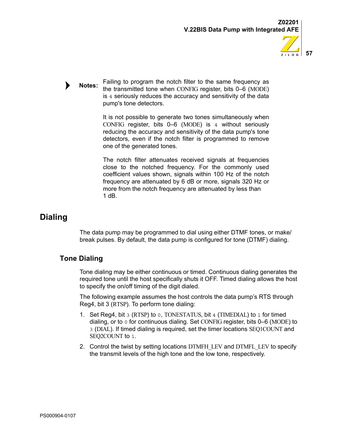

Failing to program the notch filter to the same frequency as the transmitted tone when CONFIG register, bits 0–6 (MODE) is 4 seriously reduces the accuracy and sensitivity of the data pump's tone detectors. **Notes:**

> It is not possible to generate two tones simultaneously when CONFIG register, bits 0–6 (MODE) is 4 without seriously reducing the accuracy and sensitivity of the data pump's tone detectors, even if the notch filter is programmed to remove one of the generated tones.

> The notch filter attenuates received signals at frequencies close to the notched frequency. For the commonly used coefficient values shown, signals within 100 Hz of the notch frequency are attenuated by 6 dB or more, signals 320 Hz or more from the notch frequency are attenuated by less than 1 dB.

# **Dialing**

The data pump may be programmed to dial using either DTMF tones, or make/ break pulses. By default, the data pump is configured for tone (DTMF) dialing.

## **Tone Dialing**

Tone dialing may be either continuous or timed. Continuous dialing generates the required tone until the host specifically shuts it OFF. Timed dialing allows the host to specify the on/off timing of the digit dialed.

The following example assumes the host controls the data pump's RTS through Reg4, bit 3 (RTSP). To perform tone dialing:

- 1. Set Reg4, bit 3 (RTSP) to 0, TONESTATUS, bit 4 (TIMEDIAL) to 1 for timed dialing, or to 0 for continuous dialing. Set CONFIG register, bits 0–6 (MODE) to 3 (DIAL). If timed dialing is required, set the timer locations SEQ1COUNT and SEQ2COUNT to 1.
- 2. Control the twist by setting locations DTMFH\_LEV and DTMFL\_LEV to specify the transmit levels of the high tone and the low tone, respectively.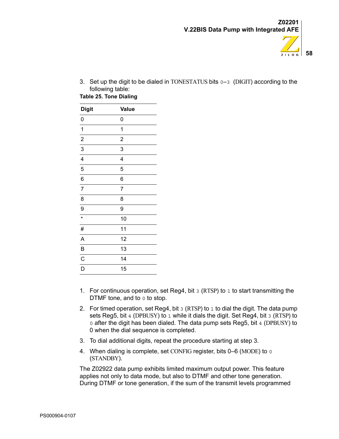

3. Set up the digit to be dialed in TONESTATUS bits 0–3 (DIGIT) according to the following table:

**Table 25. Tone Dialing** 

| <b>Digit</b>            | <b>Value</b>   |
|-------------------------|----------------|
| 0                       | 0              |
| $\mathbf 1$             | 1              |
| $\overline{c}$          | $\overline{c}$ |
| 3                       | 3              |
| $\overline{\mathbf{4}}$ | 4              |
| 5                       | 5              |
| 6                       | 6              |
| $\overline{7}$          | 7              |
| 8                       | 8              |
| 9                       | 9              |
| $\star$                 | 10             |
| #                       | 11             |
| A                       | 12             |
| B                       | 13             |
| $\mathsf{C}$            | 14             |
| D                       | 15             |

- 1. For continuous operation, set Reg4, bit  $3$  (RTSP) to 1 to start transmitting the DTMF tone, and to  $0$  to stop.
- 2. For timed operation, set Reg4, bit  $3$  (RTSP) to 1 to dial the digit. The data pump sets Reg5, bit 4 (DPBUSY) to 1 while it dials the digit. Set Reg4, bit 3 (RTSP) to 0 after the digit has been dialed. The data pump sets Reg5, bit 4 (DPBUSY) to 0 when the dial sequence is completed.
- 3. To dial additional digits, repeat the procedure starting at step 3.
- 4. When dialing is complete, set CONFIG register, bits 0–6 (MODE) to 0 (STANDBY).

The Z02922 data pump exhibits limited maximum output power. This feature applies not only to data mode, but also to DTMF and other tone generation. During DTMF or tone generation, if the sum of the transmit levels programmed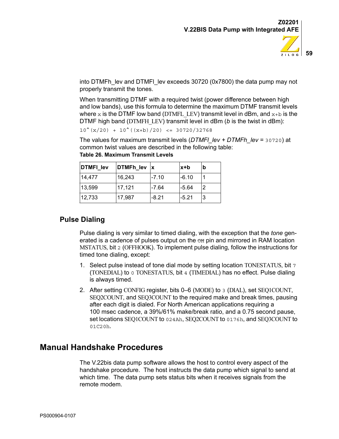

into DTMFh\_lev and DTMFI\_lev exceeds 30720 (0x7800) the data pump may not properly transmit the tones.

When transmitting DTMF with a required twist (power difference between high and low bands), use this formula to determine the maximum DTMF transmit levels where x is the DTMF low band (DTMFL, LEV) transmit level in dBm, and  $x+b$  is the DTMF high band (DTMFH\_LEV) transmit level in dBm (*b* is the twist in dBm):

 $10^{\text{A}}(x/20)$  +  $10^{\text{A}}((x+b)/20)$  <= 30720/32768

The values for maximum transmit levels (*DTMFl\_lev + DTMFh\_lev =* 30720) at common twist values are described in the following table: **Table 26. Maximum Transmit Levels**

| DTMFI_lev | DTMFh lev | $\mathbf x$ | x+b     | b              |
|-----------|-----------|-------------|---------|----------------|
| 14,477    | 16,243    | $-7.10$     | -6.10   |                |
| 13,599    | 17,121    | $-7.64$     | $-5.64$ | $\overline{2}$ |
| 12,733    | 17,987    | $-8.21$     | $-5.21$ | 3              |

| 13.599 |  |
|--------|--|
|        |  |

## **Pulse Dialing**

Pulse dialing is very similar to timed dialing, with the exception that the *tone* generated is a cadence of pulses output on the  $\sigma$  pin and mirrored in RAM location MSTATUS, bit 2 (OFFHOOK). To implement pulse dialing, follow the instructions for timed tone dialing, except:

- 1. Select pulse instead of tone dial mode by setting location TONESTATUS, bit 7 (TONEDIAL) to 0 TONESTATUS, bit 4 (TIMEDIAL) has no effect. Pulse dialing is always timed.
- 2. After setting CONFIG register, bits 0–6 (MODE) to 3 (DIAL), set SEQ1COUNT, SEQ2COUNT, and SEQ3COUNT to the required make and break times, pausing after each digit is dialed. For North American applications requiring a 100 msec cadence, a 39%/61% make/break ratio, and a 0.75 second pause, set locations SEO1COUNT to 024Ah, SEO2COUNT to 0176h, and SEO3COUNT to 01C20h.

# <span id="page-62-0"></span>**Manual Handshake Procedures**

The V.22bis data pump software allows the host to control every aspect of the handshake procedure. The host instructs the data pump which signal to send at which time. The data pump sets status bits when it receives signals from the remote modem.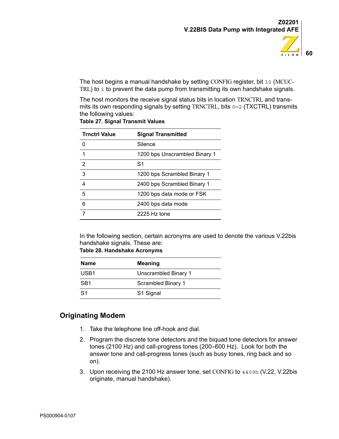

The host begins a manual handshake by setting CONFIG register, bit 10 (MCUC-TRL) to 1 to prevent the data pump from transmitting its own handshake signals.

The host monitors the receive signal status bits in location TRNCTRL and transmits its own responding signals by setting TRNCTRL, bits  $0-2$  (TXCTRL) transmits the following values:

| <b>Trnctrl Value</b> | <b>Signal Transmitted</b>     |
|----------------------|-------------------------------|
|                      | Silence                       |
| 1                    | 1200 bps Unscrambled Binary 1 |
| 2                    | S1                            |
| 3                    | 1200 bps Scrambled Binary 1   |
| 4                    | 2400 bps Scrambled Binary 1   |
| 5                    | 1200 bps data mode or FSK     |
| 6                    | 2400 bps data mode            |
|                      | 2225 Hz tone                  |

**Table 27. Signal Transmit Values**

In the following section, certain acronyms are used to denote the various V.22bis handshake signals. These are:

|  | Table 28. Handshake Acronyms |  |
|--|------------------------------|--|
|--|------------------------------|--|

| <b>Name</b>      | <b>Meaning</b>       |
|------------------|----------------------|
| USB <sub>1</sub> | Unscrambled Binary 1 |
| SB <sub>1</sub>  | Scrambled Binary 1   |
| S <sub>1</sub>   | S1 Signal            |

## **Originating Modem**

- 1. Take the telephone line off-hook and dial.
- 2. Program the discrete tone detectors and the biquad tone detectors for answer tones (2100 Hz) and call-progress tones (200–600 Hz). Look for both the answer tone and call-progress tones (such as busy tones, ring back and so on).
- 3. Upon receiving the 2100 Hz answer tone, set CONFIG to 4409h (V.22, V.22bis originate, manual handshake).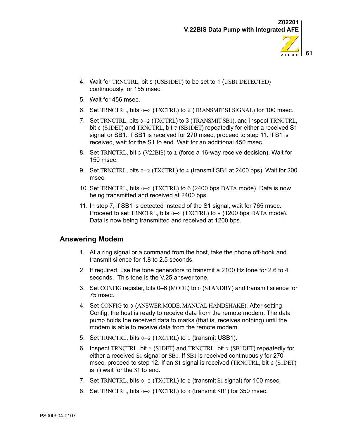- **61**  $Z$  i  $L$  0 G
- 4. Wait for TRNCTRL, bit 5 (USB1DET) to be set to 1 (USB1 DETECTED) continuously for 155 msec.
- 5. Wait for 456 msec.
- 6. Set TRNCTRL, bits 0–2 (TXCTRL) to 2 (TRANSMIT S1 SIGNAL) for 100 msec.
- 7. Set TRNCTRL, bits  $0-2$  (TXCTRL) to 3 (TRANSMIT SB1), and inspect TRNCTRL, bit 6 (S1DET) and TRNCTRL, bit 7 (SB1DET) repeatedly for either a received S1 signal or SB1. If SB1 is received for 270 msec, proceed to step 11. If S1 is received, wait for the S1 to end. Wait for an additional 450 msec.
- 8. Set TRNCTRL, bit 3 (V22BIS) to 1 (force a 16-way receive decision). Wait for 150 msec.
- 9. Set TRNCTRL, bits  $0-2$  (TXCTRL) to 4 (transmit SB1 at 2400 bps). Wait for 200 msec.
- 10. Set TRNCTRL, bits 0–2 (TXCTRL) to 6 (2400 bps DATA mode). Data is now being transmitted and received at 2400 bps.
- 11. In step 7, if SB1 is detected instead of the S1 signal, wait for 765 msec. Proceed to set TRNCTRL, bits  $0-2$  (TXCTRL) to 5 (1200 bps DATA mode). Data is now being transmitted and received at 1200 bps.

#### **Answering Modem**

- 1. At a ring signal or a command from the host, take the phone off-hook and transmit silence for 1.8 to 2.5 seconds.
- 2. If required, use the tone generators to transmit a 2100 Hz tone for 2.6 to 4 seconds. This tone is the V.25 answer tone.
- 3. Set CONFIG register, bits 0–6 (MODE) to 0 (STANDBY) and transmit silence for 75 msec.
- 4. Set CONFIG to 8 (ANSWER MODE, MANUAL HANDSHAKE). After setting Config, the host is ready to receive data from the remote modem. The data pump holds the received data to marks (that is, receives nothing) until the modem is able to receive data from the remote modem.
- 5. Set TRNCTRL, bits  $0-2$  (TXCTRL) to 1 (transmit USB1).
- 6. Inspect TRNCTRL, bit 6 (S1DET) and TRNCTRL, bit 7 (SB1DET) repeatedly for either a received S1 signal or SB1. If SB1 is received continuously for 270 msec, proceed to step 12. If an S1 signal is received (TRNCTRL, bit 6 (S1DET) is 1) wait for the S1 to end.
- 7. Set TRNCTRL, bits 0–2 (TXCTRL) to 2 (transmit S1 signal) for 100 msec.
- 8. Set TRNCTRL, bits  $0-2$  (TXCTRL) to 3 (transmit SB1) for 350 msec.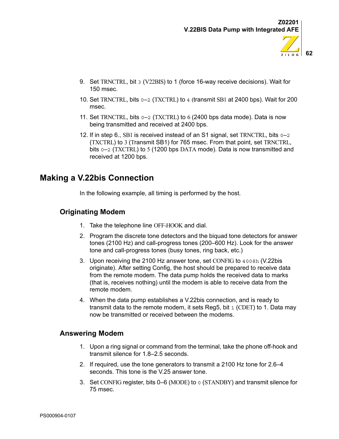**62**

ZiLOG

- 9. Set TRNCTRL, bit 3 (V22BIS) to 1 (force 16-way receive decisions). Wait for 150 msec.
- 10. Set TRNCTRL, bits 0–2 (TXCTRL) to 4 (transmit SB1 at 2400 bps). Wait for 200 msec.
- 11. Set TRNCTRL, bits  $0-2$  (TXCTRL) to 6 (2400 bps data mode). Data is now being transmitted and received at 2400 bps.
- 12. If in step 6., SB1 is received instead of an S1 signal, set TRNCTRL, bits 0–2 (TXCTRL) to 3 (Transmit SB1) for 765 msec. From that point, set TRNCTRL, bits  $0-2$  (TXCTRL) to 5 (1200 bps DATA mode). Data is now transmitted and received at 1200 bps.

## **Making a V.22bis Connection**

In the following example, all timing is performed by the host.

## **Originating Modem**

- 1. Take the telephone line OFF-HOOK and dial.
- 2. Program the discrete tone detectors and the biquad tone detectors for answer tones (2100 Hz) and call-progress tones (200–600 Hz). Look for the answer tone and call-progress tones (busy tones, ring back, etc.)
- 3. Upon receiving the 2100 Hz answer tone, set CONFIG to 4008h (V.22bis originate). After setting Config, the host should be prepared to receive data from the remote modem. The data pump holds the received data to marks (that is, receives nothing) until the modem is able to receive data from the remote modem.
- 4. When the data pump establishes a V.22bis connection, and is ready to transmit data to the remote modem, it sets Reg5, bit 1 (CDET) to 1. Data may now be transmitted or received between the modems.

## **Answering Modem**

- 1. Upon a ring signal or command from the terminal, take the phone off-hook and transmit silence for 1.8–2.5 seconds.
- 2. If required, use the tone generators to transmit a 2100 Hz tone for 2.6–4 seconds. This tone is the V.25 answer tone.
- 3. Set CONFIG register, bits 0–6 (MODE) to 0 (STANDBY) and transmit silence for 75 msec.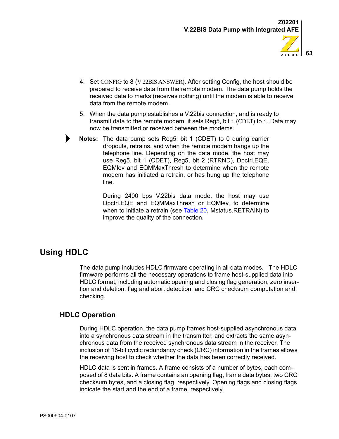

- 4. Set CONFIG to 8 (V.22BIS ANSWER). After setting Config, the host should be prepared to receive data from the remote modem. The data pump holds the received data to marks (receives nothing) until the modem is able to receive data from the remote modem.
- 5. When the data pump establishes a V.22bis connection, and is ready to transmit data to the remote modem, it sets Req5, bit  $1$  (CDET) to  $1$ . Data may now be transmitted or received between the modems.
- **Notes:** The data pump sets Reg5, bit 1 (CDET) to 0 during carrier dropouts, retrains, and when the remote modem hangs up the telephone line. Depending on the data mode, the host may use Reg5, bit 1 (CDET), Reg5, bit 2 (RTRND), Dpctrl.EQE, EQMlev and EQMMaxThresh to determine when the remote modem has initiated a retrain, or has hung up the telephone line.

During 2400 bps V.22bis data mode, the host may use Dpctrl.EQE and EQMMaxThresh or EQMlev, to determine when to initiate a retrain (see [Table 20,](#page-37-0) Mstatus.RETRAIN) to improve the quality of the connection.

# **Using HDLC**

▶

The data pump includes HDLC firmware operating in all data modes. The HDLC firmware performs all the necessary operations to frame host-supplied data into HDLC format, including automatic opening and closing flag generation, zero insertion and deletion, flag and abort detection, and CRC checksum computation and checking.

## **HDLC Operation**

During HDLC operation, the data pump frames host-supplied asynchronous data into a synchronous data stream in the transmitter, and extracts the same asynchronous data from the received synchronous data stream in the receiver. The inclusion of 16-bit cyclic redundancy check (CRC) information in the frames allows the receiving host to check whether the data has been correctly received.

HDLC data is sent in frames. A frame consists of a number of bytes, each composed of 8 data bits. A frame contains an opening flag, frame data bytes, two CRC checksum bytes, and a closing flag, respectively. Opening flags and closing flags indicate the start and the end of a frame, respectively.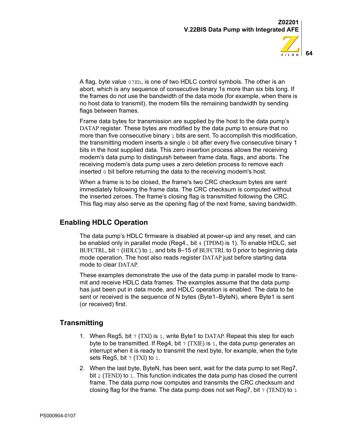

A flag, byte value 07Eh, is one of two HDLC control symbols. The other is an abort, which is any sequence of consecutive binary 1s more than six bits long. If the frames do not use the bandwidth of the data mode (for example, when there is no host data to transmit), the modem fills the remaining bandwidth by sending flags between frames.

Frame data bytes for transmission are supplied by the host to the data pump's DATAP register. These bytes are modified by the data pump to ensure that no more than five consecutive binary 1 bits are sent. To accomplish this modification, the transmitting modem inserts a single  $\sigma$  bit after every five consecutive binary 1 bits in the host supplied data. This zero insertion process allows the receiving modem's data pump to distinguish between frame data, flags, and aborts. The receiving modem's data pump uses a zero deletion process to remove each inserted 0 bit before returning the data to the receiving modem's host.

When a frame is to be closed, the frame's two CRC checksum bytes are sent immediately following the frame data. The CRC checksum is computed without the inserted zeroes. The frame's closing flag is transmitted following the CRC. This flag may also serve as the opening flag of the next frame, saving bandwidth.

## **Enabling HDLC Operation**

The data pump's HDLC firmware is disabled at power-up and any reset, and can be enabled only in parallel mode (Reg4., bit 4 (TPDM) is 1). To enable HDLC, set BUFCTRL, bit  $7$  (HDLC) to 1, and bits 8-15 of BUFCTRL to 0 prior to beginning data mode operation. The host also reads register DATAP just before starting data mode to clear DATAP.

These examples demonstrate the use of the data pump in parallel mode to transmit and receive HDLC data frames. The examples assume that the data pump has just been put in data mode, and HDLC operation is enabled. The data to be sent or received is the sequence of N bytes (Byte1–ByteN), where Byte1 is sent (or received) first.

## **Transmitting**

- 1. When Reg5, bit  $7$  (TXI) is 1, write Byte1 to DATAP. Repeat this step for each byte to be transmitted. If Reg4, bit  $7$  (TXIE) is 1, the data pump generates an interrupt when it is ready to transmit the next byte, for example, when the byte sets Reg5, bit  $7$  (TXI) to 1.
- 2. When the last byte, ByteN, has been sent, wait for the data pump to set Reg7, bit 2 (TEND) to 1. This function indicates the data pump has closed the current frame. The data pump now computes and transmits the CRC checksum and closing flag for the frame. The data pump does not set Reg7, bit  $7$  (TEND) to  $1$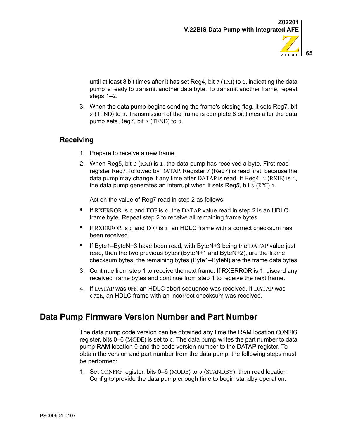

until at least 8 bit times after it has set Reg4, bit  $7$  (TXI) to 1, indicating the data pump is ready to transmit another data byte. To transmit another frame, repeat steps 1–2.

3. When the data pump begins sending the frame's closing flag, it sets Reg7, bit 2 (TEND) to 0. Transmission of the frame is complete 8 bit times after the data pump sets Reg7, bit 7 (TEND) to 0.

## **Receiving**

- 1. Prepare to receive a new frame.
- 2. When Reg5, bit  $\epsilon$  (RXI) is 1, the data pump has received a byte. First read register Reg7, followed by DATAP. Register 7 (Reg7) is read first, because the data pump may change it any time after DATAP is read. If Reg4, 6 (RXIE) is 1, the data pump generates an interrupt when it sets Reg5, bit  $6$  (RXI) 1.

Act on the value of Reg7 read in step 2 as follows:

- **•** If RXERROR is 0 and EOF is 0, the DATAP value read in step 2 is an HDLC frame byte. Repeat step 2 to receive all remaining frame bytes.
- **•** If RXERROR is 0 and EOF is 1, an HDLC frame with a correct checksum has been received.
- **•** If Byte1–ByteN+3 have been read, with ByteN+3 being the DATAP value just read, then the two previous bytes (ByteN+1 and ByteN+2), are the frame checksum bytes; the remaining bytes (Byte1–ByteN) are the frame data bytes.
- 3. Continue from step 1 to receive the next frame. If RXERROR is 1, discard any received frame bytes and continue from step 1 to receive the next frame.
- 4. If DATAP was 0FF, an HDLC abort sequence was received. If DATAP was 07Eh, an HDLC frame with an incorrect checksum was received.

## **Data Pump Firmware Version Number and Part Number**

The data pump code version can be obtained any time the RAM location CONFIG register, bits  $0-6$  (MODE) is set to  $0.$  The data pump writes the part number to data pump RAM location 0 and the code version number to the DATAP register. To obtain the version and part number from the data pump, the following steps must be performed:

1. Set CONFIG register, bits 0–6 (MODE) to 0 (STANDBY), then read location Config to provide the data pump enough time to begin standby operation.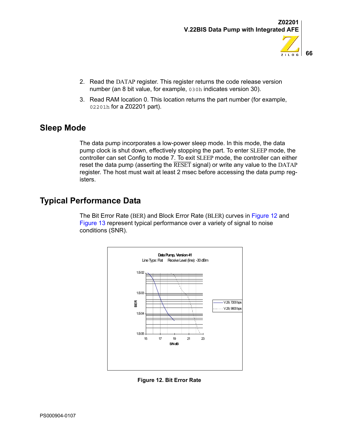

- 2. Read the DATAP register. This register returns the code release version number (an 8 bit value, for example, 030h indicates version 30).
- 3. Read RAM location 0. This location returns the part number (for example, 02201h for a Z02201 part).

## **Sleep Mode**

The data pump incorporates a low-power sleep mode. In this mode, the data pump clock is shut down, effectively stopping the part. To enter SLEEP mode, the controller can set Config to mode 7. To exit SLEEP mode, the controller can either reset the data pump (asserting the  $\overline{\text{REST}}$  signal) or write any value to the DATAP register. The host must wait at least 2 msec before accessing the data pump registers.

# **Typical Performance Data**

The Bit Error Rate (BER) and Block Error Rate (BLER) curves in [Figure 12](#page-69-0) and [Figure 13](#page-71-0) represent typical performance over a variety of signal to noise conditions (SNR).



<span id="page-69-0"></span>**Figure 12. Bit Error Rate**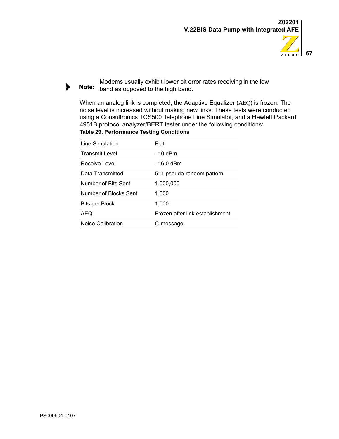



Modems usually exhibit lower bit error rates receiving in the low Note: band as opposed to the high band.

When an analog link is completed, the Adaptive Equalizer (AEQ) is frozen. The noise level is increased without making new links. These tests were conducted using a Consultronics TCS500 Telephone Line Simulator, and a Hewlett Packard 4951B protocol analyzer/BERT tester under the following conditions: **Table 29. Performance Testing Conditions**

| Line Simulation       | Flat                            |
|-----------------------|---------------------------------|
| <b>Transmit Level</b> | –10 dBm                         |
| Receive Level         | –16.0 dBm                       |
| Data Transmitted      | 511 pseudo-random pattern       |
| Number of Bits Sent   | 1.000.000                       |
| Number of Blocks Sent | 1.000                           |
| Bits per Block        | 1.000                           |
| AEQ                   | Frozen after link establishment |
| Noise Calibration     | C-message                       |

 $\blacktriangleright$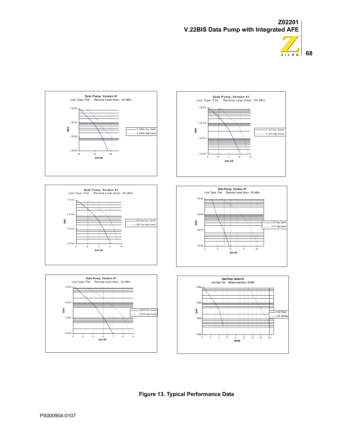



<span id="page-71-0"></span>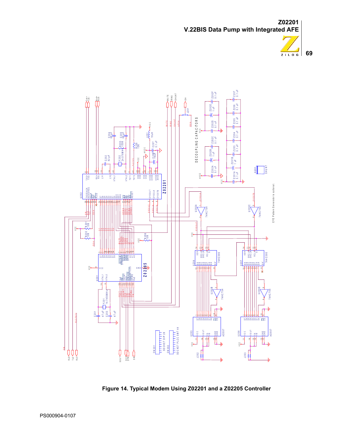



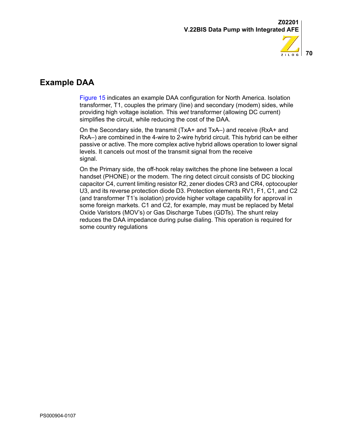



# **Example DAA**

[Figure 15](#page-74-0) indicates an example DAA configuration for North America. Isolation transformer, T1, couples the primary (line) and secondary (modem) sides, while providing high voltage isolation. This *wet* transformer (allowing DC current) simplifies the circuit, while reducing the cost of the DAA.

On the Secondary side, the transmit (TxA+ and TxA–) and receive (RxA+ and RxA–) are combined in the 4-wire to 2-wire hybrid circuit. This hybrid can be either passive or active. The more complex active hybrid allows operation to lower signal levels. It cancels out most of the transmit signal from the receive signal.

On the Primary side, the off-hook relay switches the phone line between a local handset (PHONE) or the modem. The ring detect circuit consists of DC blocking capacitor C4, current limiting resistor R2, zener diodes CR3 and CR4, optocoupler U3, and its reverse protection diode D3. Protection elements RV1, F1, C1, and C2 (and transformer T1's isolation) provide higher voltage capability for approval in some foreign markets. C1 and C2, for example, may must be replaced by Metal Oxide Varistors (MOV's) or Gas Discharge Tubes (GDTs). The shunt relay reduces the DAA impedance during pulse dialing. This operation is required for some country regulations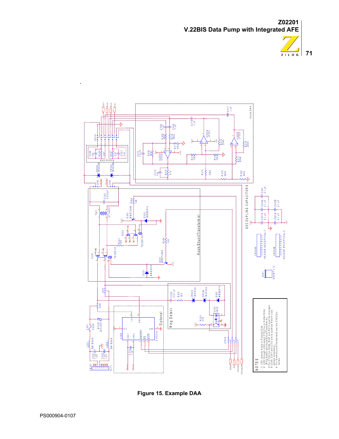**Z02201 V.22BIS Data Pump with Integrated AFE**





<span id="page-74-0"></span>

.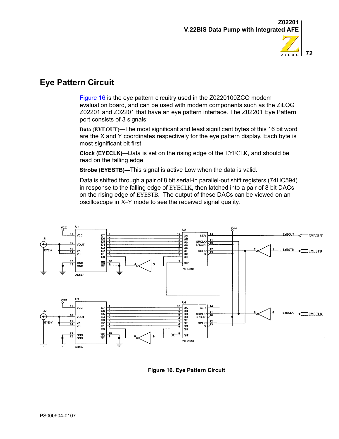



# **Eye Pattern Circuit**

[Figure 16](#page-75-0) is the eye pattern circuitry used in the Z0220100ZCO modem evaluation board, and can be used with modem components such as the ZiLOG Z02201 and Z02201 that have an eye pattern interface. The Z02201 Eye Pattern port consists of 3 signals:

**Data (EYEOUT)—**The most significant and least significant bytes of this 16 bit word are the X and Y coordinates respectively for the eye pattern display. Each byte is most significant bit first.

**Clock (EYECLK)—**Data is set on the rising edge of the EYECLK, and should be read on the falling edge.

**Strobe (EYESTB)—**This signal is active Low when the data is valid.

Data is shifted through a pair of 8 bit serial-in parallel-out shift registers (74HC594) in response to the falling edge of EYECLK, then latched into a pair of 8 bit DACs on the rising edge of EYESTB. The output of these DACs can be viewed on an oscilloscope in X–Y mode to see the received signal quality.



<span id="page-75-0"></span>**Figure 16. Eye Pattern Circuit**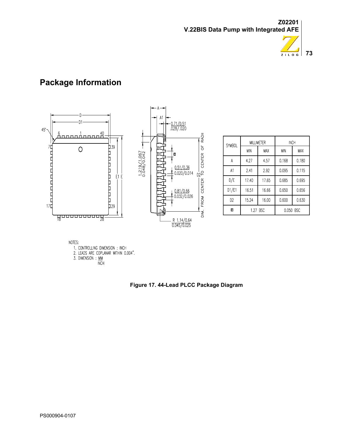



# **Package Information**



| <b>SYMBOL</b>  | MILLIMETER |       | INCH       |            |
|----------------|------------|-------|------------|------------|
|                | <b>MIN</b> | MAX   | <b>MIN</b> | <b>MAX</b> |
| А              | 4.27       | 4.57  | 0.168      | 0.180      |
| A1             | 2.41       | 2.92  | 0.095      | 0.115      |
| D/E            | 17.40      | 17.65 | 0.685      | 0.695      |
| D1/E1          | 16.51      | 16.66 | 0.650      | 0.656      |
| D <sub>2</sub> | 15.24      | 16.00 | 0.600      | 0.630      |
| e              | 1.27 BSC   |       | 0.050 BSC  |            |

NOTES:

.......<br>1. CONTROLLING DIMENSION : INCH<br>2. LEADS ARE COPLANAR WITHIN 0.004".<br>3. DIMENSION : <u>MM</u><br>INCH

**Figure 17. 44-Lead PLCC Package Diagram**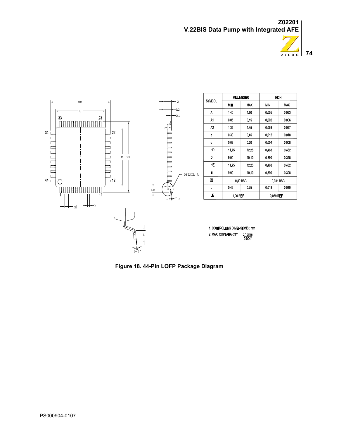**Z02201 V.22BIS Data Pump with Integrated AFE**





**Figure 18. 44-Pin LQFP Package Diagram**